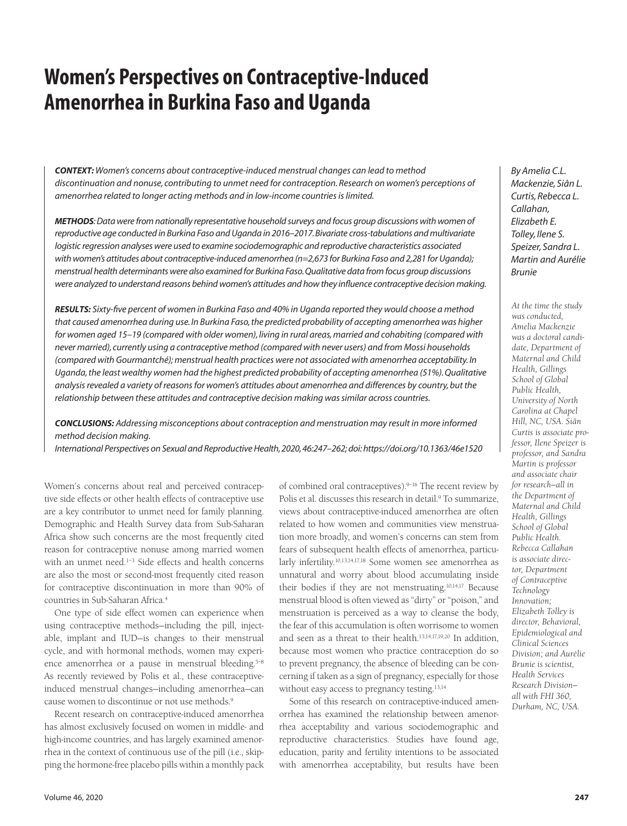# **Women's Perspectives on Contraceptive-Induced Amenorrhea in Burkina Faso and Uganda**

*CONTEXT: Women's concerns about contraceptive-induced menstrual changes can lead to method discontinuation and nonuse, contributing to unmet need for contraception. Research on women's perceptions of amenorrhea related to longer acting methods and in low-income countries is limited.*

*METHODS:Data were from nationally representative household surveys and focus group discussions with women of reproductive age conducted in Burkina Faso and Uganda in 2016–2017.Bivariate cross-tabulations and multivariate logistic regression analyses were used to examine sociodemographic and reproductive characteristics associated with women's attitudes about contraceptive-induced amenorrhea (n=2,673 for Burkina Faso and 2,281 for Uganda); menstrual health determinants were also examined for Burkina Faso. Qualitative data from focus group discussions were analyzed to understand reasons behind women's attitudes and how they influence contraceptive decision making.*

*RESULTS: Sixty-five percent of women in Burkina Faso and 40% in Uganda reported they would choose a method that caused amenorrhea during use.In Burkina Faso,the predicted probability of accepting amenorrhea was higher for women aged 15–19 (compared with older women), living in rural areas, married and cohabiting (compared with never married), currently using a contraceptive method (compared with never users) and from Mossi households (compared with Gourmantché); menstrual health practices were not associated with amenorrhea acceptability. In* Uganda, the least wealthy women had the highest predicted probability of accepting amenorrhea (51%). Qualitative *analysis revealed a variety of reasons for women's attitudes about amenorrhea and differences by country,but the relationship between these attitudes and contraceptive decision making was similar across countries.*

*CONCLUSIONS: Addressing misconceptions about contraception and menstruation may result in more informed method decision making.*

*International Perspectives on Sexual and Reproductive Health, 2020, 46:247–262; doi: https://doi.org/10.1363/46e1520*

Women's concerns about real and perceived contraceptive side effects or other health effects of contraceptive use are a key contributor to unmet need for family planning. Demographic and Health Survey data from Sub-Saharan Africa show such concerns are the most frequently cited reason for contraceptive nonuse among married women with an unmet need.<sup>1-3</sup> Side effects and health concerns are also the most or second-most frequently cited reason for contraceptive discontinuation in more than 90% of countries in Sub-Saharan Africa.4

One type of side effect women can experience when using contraceptive methods—including the pill, injectable, implant and IUD—is changes to their menstrual cycle, and with hormonal methods, women may experience amenorrhea or a pause in menstrual bleeding.<sup>5-8</sup> As recently reviewed by Polis et al., these contraceptiveinduced menstrual changes—including amenorrhea—can cause women to discontinue or not use methods.9

Recent research on contraceptive-induced amenorrhea has almost exclusively focused on women in middle- and high-income countries, and has largely examined amenorrhea in the context of continuous use of the pill (i.e., skipping the hormone-free placebo pills within a monthly pack

of combined oral contraceptives).<sup>9-16</sup> The recent review by Polis et al. discusses this research in detail.<sup>9</sup> To summarize, views about contraceptive-induced amenorrhea are often related to how women and communities view menstruation more broadly, and women's concerns can stem from fears of subsequent health effects of amenorrhea, particularly infertility.10,13,14,17,18 Some women see amenorrhea as unnatural and worry about blood accumulating inside their bodies if they are not menstruating.10,14,17 Because menstrual blood is often viewed as "dirty" or "poison," and menstruation is perceived as a way to cleanse the body, the fear of this accumulation is often worrisome to women and seen as a threat to their health.13,14,17,19,20 In addition, because most women who practice contraception do so to prevent pregnancy, the absence of bleeding can be concerning if taken as a sign of pregnancy, especially for those without easy access to pregnancy testing.<sup>13,14</sup>

Some of this research on contraceptive-induced amenorrhea has examined the relationship between amenorrhea acceptability and various sociodemographic and reproductive characteristics. Studies have found age, education, parity and fertility intentions to be associated with amenorrhea acceptability, but results have been

*By Amelia C.L. Mackenzie, Siân L. Curtis, Rebecca L. Callahan, Elizabeth E. Tolley, Ilene S. Speizer, Sandra L. Martin and Aurélie Brunie*

*At the time the study was conducted, Amelia Mackenzie was a doctoral candidate, Department of Maternal and Child Health, Gillings School of Global Public Health, University of North Carolina at Chapel Hill, NC, USA. Siân Curtis is associate professor, Ilene Speizer is professor, and Sandra Martin is professor and associate chair for research—all in the Department of Maternal and Child Health, Gillings School of Global Public Health. Rebecca Callahan is associate director, Department of Contraceptive Technology Innovation; Elizabeth Tolley is director, Behavioral, Epidemiological and Clinical Sciences Division; and Aurélie Brunie is scientist, Health Services Research Division all with FHI 360, Durham, NC, USA.*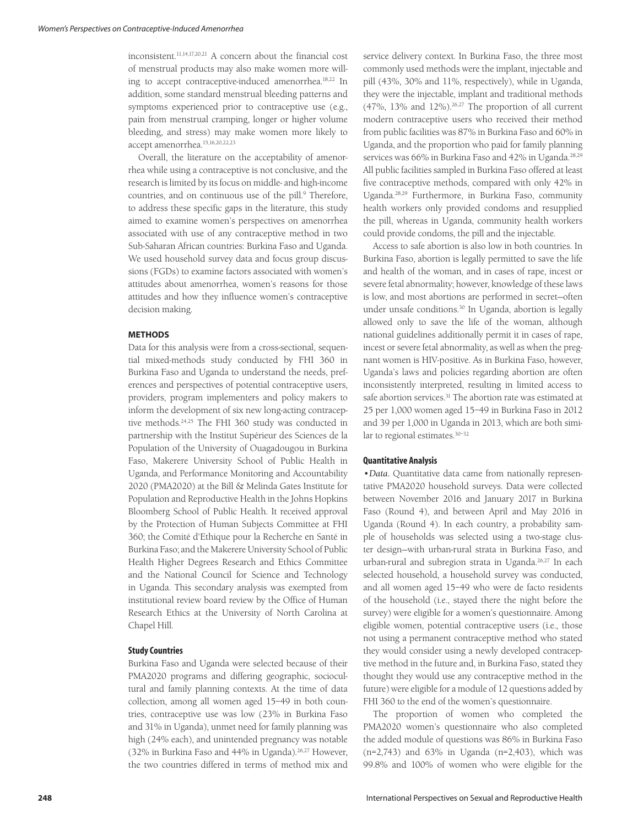inconsistent.11,14,17,20,21 A concern about the financial cost of menstrual products may also make women more willing to accept contraceptive-induced amenorrhea.18,22 In addition, some standard menstrual bleeding patterns and symptoms experienced prior to contraceptive use (e.g., pain from menstrual cramping, longer or higher volume bleeding, and stress) may make women more likely to accept amenorrhea.15,16,20,22,23

Overall, the literature on the acceptability of amenorrhea while using a contraceptive is not conclusive, and the research is limited by its focus on middle- and high-income countries, and on continuous use of the pill.<sup>9</sup> Therefore, to address these specific gaps in the literature, this study aimed to examine women's perspectives on amenorrhea associated with use of any contraceptive method in two Sub-Saharan African countries: Burkina Faso and Uganda. We used household survey data and focus group discussions (FGDs) to examine factors associated with women's attitudes about amenorrhea, women's reasons for those attitudes and how they influence women's contraceptive decision making.

#### **METHODS**

Data for this analysis were from a cross-sectional, sequential mixed-methods study conducted by FHI 360 in Burkina Faso and Uganda to understand the needs, preferences and perspectives of potential contraceptive users, providers, program implementers and policy makers to inform the development of six new long-acting contraceptive methods.24,25 The FHI 360 study was conducted in partnership with the Institut Supérieur des Sciences de la Population of the University of Ouagadougou in Burkina Faso, Makerere University School of Public Health in Uganda, and Performance Monitoring and Accountability 2020 (PMA2020) at the Bill & Melinda Gates Institute for Population and Reproductive Health in the Johns Hopkins Bloomberg School of Public Health. It received approval by the Protection of Human Subjects Committee at FHI 360; the Comité d'Ethique pour la Recherche en Santé in Burkina Faso; and the Makerere University School of Public Health Higher Degrees Research and Ethics Committee and the National Council for Science and Technology in Uganda. This secondary analysis was exempted from institutional review board review by the Office of Human Research Ethics at the University of North Carolina at Chapel Hill.

#### **Study Countries**

Burkina Faso and Uganda were selected because of their PMA2020 programs and differing geographic, sociocultural and family planning contexts. At the time of data collection, among all women aged 15–49 in both countries, contraceptive use was low (23% in Burkina Faso and 31% in Uganda), unmet need for family planning was high (24% each), and unintended pregnancy was notable (32% in Burkina Faso and 44% in Uganda).26,27 However, the two countries differed in terms of method mix and service delivery context. In Burkina Faso, the three most commonly used methods were the implant, injectable and pill (43%, 30% and 11%, respectively), while in Uganda, they were the injectable, implant and traditional methods (47%,  $13\%$  and  $12\%$ ).<sup>26,27</sup> The proportion of all current modern contraceptive users who received their method from public facilities was 87% in Burkina Faso and 60% in Uganda, and the proportion who paid for family planning services was 66% in Burkina Faso and 42% in Uganda.<sup>28,29</sup> All public facilities sampled in Burkina Faso offered at least five contraceptive methods, compared with only 42% in Uganda.28,29 Furthermore, in Burkina Faso, community health workers only provided condoms and resupplied the pill, whereas in Uganda, community health workers could provide condoms, the pill and the injectable.

Access to safe abortion is also low in both countries. In Burkina Faso, abortion is legally permitted to save the life and health of the woman, and in cases of rape, incest or severe fetal abnormality; however, knowledge of these laws is low, and most abortions are performed in secret—often under unsafe conditions.<sup>30</sup> In Uganda, abortion is legally allowed only to save the life of the woman, although national guidelines additionally permit it in cases of rape, incest or severe fetal abnormality, as well as when the pregnant women is HIV-positive. As in Burkina Faso, however, Uganda's laws and policies regarding abortion are often inconsistently interpreted, resulting in limited access to safe abortion services.<sup>31</sup> The abortion rate was estimated at 25 per 1,000 women aged 15–49 in Burkina Faso in 2012 and 39 per 1,000 in Uganda in 2013, which are both similar to regional estimates.30–32

#### **Quantitative Analysis**

*•Data*. Quantitative data came from nationally representative PMA2020 household surveys. Data were collected between November 2016 and January 2017 in Burkina Faso (Round 4), and between April and May 2016 in Uganda (Round 4). In each country, a probability sample of households was selected using a two-stage cluster design—with urban-rural strata in Burkina Faso, and urban-rural and subregion strata in Uganda.<sup>26,27</sup> In each selected household, a household survey was conducted, and all women aged 15–49 who were de facto residents of the household (i.e., stayed there the night before the survey) were eligible for a women's questionnaire. Among eligible women, potential contraceptive users (i.e., those not using a permanent contraceptive method who stated they would consider using a newly developed contraceptive method in the future and, in Burkina Faso, stated they thought they would use any contraceptive method in the future) were eligible for a module of 12 questions added by FHI 360 to the end of the women's questionnaire.

The proportion of women who completed the PMA2020 women's questionnaire who also completed the added module of questions was 86% in Burkina Faso (n=2,743) and 63% in Uganda (n=2,403), which was 99.8% and 100% of women who were eligible for the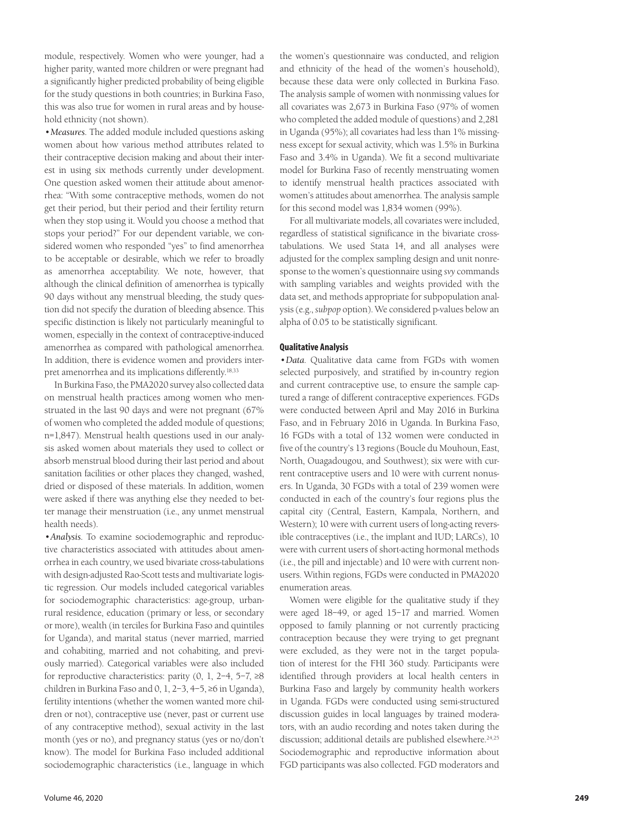module, respectively. Women who were younger, had a higher parity, wanted more children or were pregnant had a significantly higher predicted probability of being eligible for the study questions in both countries; in Burkina Faso, this was also true for women in rural areas and by household ethnicity (not shown).

*•Measures*. The added module included questions asking women about how various method attributes related to their contraceptive decision making and about their interest in using six methods currently under development. One question asked women their attitude about amenorrhea: "With some contraceptive methods, women do not get their period, but their period and their fertility return when they stop using it. Would you choose a method that stops your period?" For our dependent variable, we considered women who responded "yes" to find amenorrhea to be acceptable or desirable, which we refer to broadly as amenorrhea acceptability. We note, however, that although the clinical definition of amenorrhea is typically 90 days without any menstrual bleeding, the study question did not specify the duration of bleeding absence. This specific distinction is likely not particularly meaningful to women, especially in the context of contraceptive-induced amenorrhea as compared with pathological amenorrhea. In addition, there is evidence women and providers interpret amenorrhea and its implications differently.18,33

In Burkina Faso, the PMA2020 survey also collected data on menstrual health practices among women who menstruated in the last 90 days and were not pregnant (67% of women who completed the added module of questions; n=1,847). Menstrual health questions used in our analysis asked women about materials they used to collect or absorb menstrual blood during their last period and about sanitation facilities or other places they changed, washed, dried or disposed of these materials. In addition, women were asked if there was anything else they needed to better manage their menstruation (i.e., any unmet menstrual health needs).

*•Analysis*. To examine sociodemographic and reproductive characteristics associated with attitudes about amenorrhea in each country, we used bivariate cross-tabulations with design-adjusted Rao-Scott tests and multivariate logistic regression. Our models included categorical variables for sociodemographic characteristics: age-group, urbanrural residence, education (primary or less, or secondary or more), wealth (in terciles for Burkina Faso and quintiles for Uganda), and marital status (never married, married and cohabiting, married and not cohabiting, and previously married). Categorical variables were also included for reproductive characteristics: parity  $(0, 1, 2-4, 5-7, \geq 8$ children in Burkina Faso and 0, 1, 2–3, 4–5, ≥6 in Uganda), fertility intentions (whether the women wanted more children or not), contraceptive use (never, past or current use of any contraceptive method), sexual activity in the last month (yes or no), and pregnancy status (yes or no/don't know). The model for Burkina Faso included additional sociodemographic characteristics (i.e., language in which the women's questionnaire was conducted, and religion and ethnicity of the head of the women's household), because these data were only collected in Burkina Faso. The analysis sample of women with nonmissing values for all covariates was 2,673 in Burkina Faso (97% of women who completed the added module of questions) and 2,281 in Uganda (95%); all covariates had less than 1% missingness except for sexual activity, which was 1.5% in Burkina Faso and 3.4% in Uganda). We fit a second multivariate model for Burkina Faso of recently menstruating women to identify menstrual health practices associated with women's attitudes about amenorrhea. The analysis sample for this second model was 1,834 women (99%).

For all multivariate models, all covariates were included, regardless of statistical significance in the bivariate crosstabulations. We used Stata 14, and all analyses were adjusted for the complex sampling design and unit nonresponse to the women's questionnaire using *svy* commands with sampling variables and weights provided with the data set, and methods appropriate for subpopulation analysis (e.g., *subpop* option). We considered p-values below an alpha of 0.05 to be statistically significant.

## **Qualitative Analysis**

*•Data*. Qualitative data came from FGDs with women selected purposively, and stratified by in-country region and current contraceptive use, to ensure the sample captured a range of different contraceptive experiences. FGDs were conducted between April and May 2016 in Burkina Faso, and in February 2016 in Uganda. In Burkina Faso, 16 FGDs with a total of 132 women were conducted in five of the country's 13 regions (Boucle du Mouhoun, East, North, Ouagadougou, and Southwest); six were with current contraceptive users and 10 were with current nonusers. In Uganda, 30 FGDs with a total of 239 women were conducted in each of the country's four regions plus the capital city (Central, Eastern, Kampala, Northern, and Western); 10 were with current users of long-acting reversible contraceptives (i.e., the implant and IUD; LARCs), 10 were with current users of short-acting hormonal methods (i.e., the pill and injectable) and 10 were with current nonusers. Within regions, FGDs were conducted in PMA2020 enumeration areas.

Women were eligible for the qualitative study if they were aged 18–49, or aged 15–17 and married. Women opposed to family planning or not currently practicing contraception because they were trying to get pregnant were excluded, as they were not in the target population of interest for the FHI 360 study. Participants were identified through providers at local health centers in Burkina Faso and largely by community health workers in Uganda. FGDs were conducted using semi-structured discussion guides in local languages by trained moderators, with an audio recording and notes taken during the discussion; additional details are published elsewhere.<sup>24,25</sup> Sociodemographic and reproductive information about FGD participants was also collected. FGD moderators and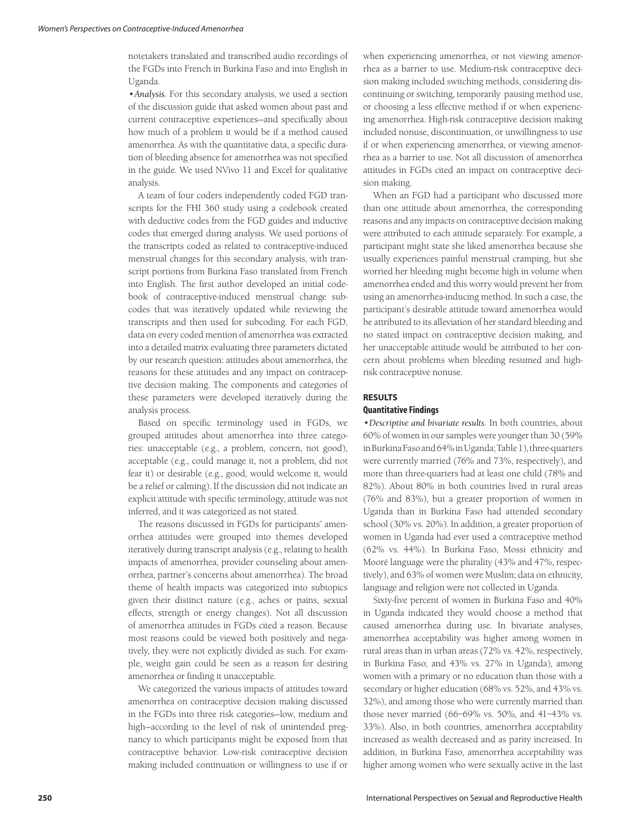notetakers translated and transcribed audio recordings of the FGDs into French in Burkina Faso and into English in Uganda.

*•Analysis*. For this secondary analysis, we used a section of the discussion guide that asked women about past and current contraceptive experiences—and specifically about how much of a problem it would be if a method caused amenorrhea. As with the quantitative data, a specific duration of bleeding absence for amenorrhea was not specified in the guide. We used NVivo 11 and Excel for qualitative analysis.

A team of four coders independently coded FGD transcripts for the FHI 360 study using a codebook created with deductive codes from the FGD guides and inductive codes that emerged during analysis. We used portions of the transcripts coded as related to contraceptive-induced menstrual changes for this secondary analysis, with transcript portions from Burkina Faso translated from French into English. The first author developed an initial codebook of contraceptive-induced menstrual change subcodes that was iteratively updated while reviewing the transcripts and then used for subcoding. For each FGD, data on every coded mention of amenorrhea was extracted into a detailed matrix evaluating three parameters dictated by our research question: attitudes about amenorrhea, the reasons for these attitudes and any impact on contraceptive decision making. The components and categories of these parameters were developed iteratively during the analysis process.

Based on specific terminology used in FGDs, we grouped attitudes about amenorrhea into three categories: unacceptable (e.g., a problem, concern, not good), acceptable (e.g., could manage it, not a problem, did not fear it) or desirable (e.g., good, would welcome it, would be a relief or calming). If the discussion did not indicate an explicit attitude with specific terminology, attitude was not inferred, and it was categorized as not stated.

The reasons discussed in FGDs for participants' amenorrhea attitudes were grouped into themes developed iteratively during transcript analysis (e.g., relating to health impacts of amenorrhea, provider counseling about amenorrhea, partner's concerns about amenorrhea). The broad theme of health impacts was categorized into subtopics given their distinct nature (e.g., aches or pains, sexual effects, strength or energy changes). Not all discussion of amenorrhea attitudes in FGDs cited a reason. Because most reasons could be viewed both positively and negatively, they were not explicitly divided as such. For example, weight gain could be seen as a reason for desiring amenorrhea or finding it unacceptable.

We categorized the various impacts of attitudes toward amenorrhea on contraceptive decision making discussed in the FGDs into three risk categories—low, medium and high—according to the level of risk of unintended pregnancy to which participants might be exposed from that contraceptive behavior. Low-risk contraceptive decision making included continuation or willingness to use if or when experiencing amenorrhea, or not viewing amenorrhea as a barrier to use. Medium-risk contraceptive decision making included switching methods, considering discontinuing or switching, temporarily pausing method use, or choosing a less effective method if or when experiencing amenorrhea. High-risk contraceptive decision making included nonuse, discontinuation, or unwillingness to use if or when experiencing amenorrhea, or viewing amenorrhea as a barrier to use. Not all discussion of amenorrhea attitudes in FGDs cited an impact on contraceptive decision making.

When an FGD had a participant who discussed more than one attitude about amenorrhea, the corresponding reasons and any impacts on contraceptive decision making were attributed to each attitude separately. For example, a participant might state she liked amenorrhea because she usually experiences painful menstrual cramping, but she worried her bleeding might become high in volume when amenorrhea ended and this worry would prevent her from using an amenorrhea-inducing method. In such a case, the participant's desirable attitude toward amenorrhea would be attributed to its alleviation of her standard bleeding and no stated impact on contraceptive decision making, and her unacceptable attitude would be attributed to her concern about problems when bleeding resumed and highrisk contraceptive nonuse.

# **RESULTS**

# **Quantitative Findings**

*•Descriptive and bivariate results.* In both countries, about 60% of women in our samples were younger than 30 (59% in Burkina Faso and 64% in Uganda; Table 1), three-quarters were currently married (76% and 73%, respectively), and more than three-quarters had at least one child (78% and 82%). About 80% in both countries lived in rural areas (76% and 83%), but a greater proportion of women in Uganda than in Burkina Faso had attended secondary school (30% vs. 20%). In addition, a greater proportion of women in Uganda had ever used a contraceptive method (62% vs. 44%). In Burkina Faso, Mossi ethnicity and Mooré language were the plurality (43% and 47%, respectively), and 63% of women were Muslim; data on ethnicity, language and religion were not collected in Uganda.

Sixty-five percent of women in Burkina Faso and 40% in Uganda indicated they would choose a method that caused amenorrhea during use. In bivariate analyses, amenorrhea acceptability was higher among women in rural areas than in urban areas (72% vs. 42%, respectively, in Burkina Faso; and 43% vs. 27% in Uganda), among women with a primary or no education than those with a secondary or higher education (68% vs. 52%, and 43% vs. 32%), and among those who were currently married than those never married (66–69% vs. 50%, and 41–43% vs. 33%). Also, in both countries, amenorrhea acceptability increased as wealth decreased and as parity increased. In addition, in Burkina Faso, amenorrhea acceptability was higher among women who were sexually active in the last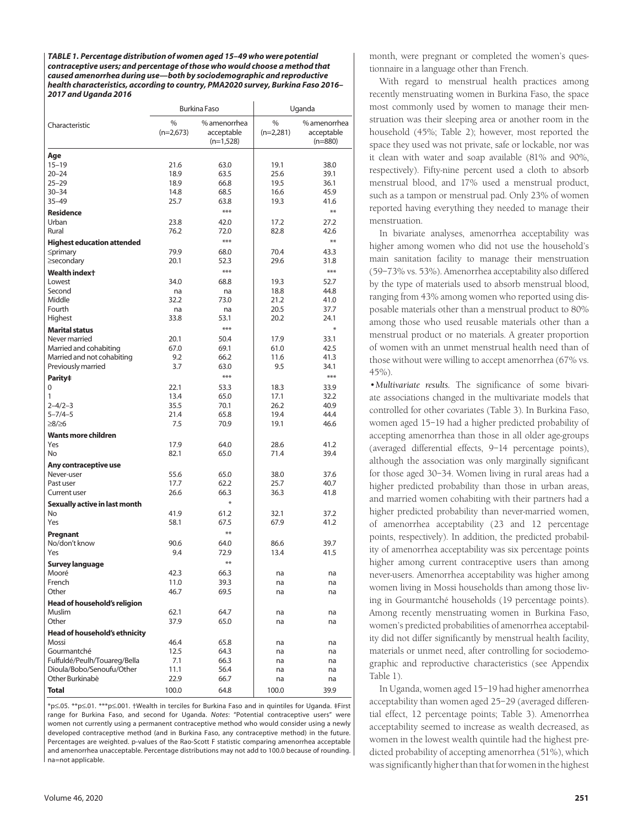*TABLE 1. Percentage distribution of women aged 15–49 who were potential contraceptive users; and percentage of those who would choose a method that caused amenorrhea during use—both by sociodemographic and reproductive health characteristics, according to country, PMA2020 survey, Burkina Faso 2016– 2017 and Uganda 2016*

|                                                  | <b>Burkina Faso</b> |                                           | Uganda           |                                         |  |
|--------------------------------------------------|---------------------|-------------------------------------------|------------------|-----------------------------------------|--|
| Characteristic                                   | %<br>$(n=2,673)$    | % amenorrhea<br>acceptable<br>$(n=1,528)$ | %<br>$(n=2,281)$ | % amenorrhea<br>acceptable<br>$(n=880)$ |  |
| Age                                              |                     |                                           |                  |                                         |  |
| $15 - 19$                                        | 21.6                | 63.0                                      | 19.1             | 38.0                                    |  |
| $20 - 24$                                        | 18.9                | 63.5                                      | 25.6             | 39.1                                    |  |
| $25 - 29$                                        | 18.9                | 66.8                                      | 19.5             | 36.1                                    |  |
| $30 - 34$                                        | 14.8                | 68.5                                      | 16.6             | 45.9                                    |  |
| $35 - 49$                                        | 25.7                | 63.8                                      | 19.3             | 41.6                                    |  |
| <b>Residence</b>                                 |                     | ***                                       |                  | **                                      |  |
| Urban                                            | 23.8                | 42.0                                      | 17.2             | 27.2                                    |  |
| Rural                                            | 76.2                | 72.0                                      | 82.8             | 42.6                                    |  |
| <b>Highest education attended</b>                |                     | ***                                       |                  | **                                      |  |
| $\leq$ primary                                   | 79.9                | 68.0                                      | 70.4             | 43.3                                    |  |
| ≥secondary                                       | 20.1                | 52.3                                      | 29.6             | 31.8                                    |  |
| <b>Wealth indext</b>                             |                     | ***                                       |                  | ***                                     |  |
| Lowest                                           | 34.0                | 68.8                                      | 19.3             | 52.7                                    |  |
| Second                                           | na                  | na                                        | 18.8             | 44.8                                    |  |
| Middle                                           | 32.2                | 73.0                                      | 21.2             | 41.0                                    |  |
| Fourth                                           | na                  | na                                        | 20.5             | 37.7                                    |  |
| Highest                                          | 33.8                | 53.1                                      | 20.2             | 24.1                                    |  |
| <b>Marital status</b>                            |                     | ***                                       |                  | ∗                                       |  |
| Never married                                    | 20.1                | 50.4                                      | 17.9<br>61.0     | 33.1                                    |  |
| Married and cohabiting                           | 67.0<br>9.2         | 69.1<br>66.2                              | 11.6             | 42.5<br>41.3                            |  |
| Married and not cohabiting<br>Previously married | 3.7                 | 63.0                                      | 9.5              | 34.1                                    |  |
|                                                  |                     | ***                                       |                  | ***                                     |  |
| Parity‡<br>0                                     | 22.1                | 53.3                                      | 18.3             | 33.9                                    |  |
| 1                                                | 13.4                | 65.0                                      | 17.1             | 32.2                                    |  |
| $2 - 4/2 - 3$                                    | 35.5                | 70.1                                      | 26.2             | 40.9                                    |  |
| $5 - 7/4 - 5$                                    | 21.4                | 65.8                                      | 19.4             | 44.4                                    |  |
| $≥8/≥6$                                          | 7.5                 | 70.9                                      | 19.1             | 46.6                                    |  |
| <b>Wants more children</b>                       |                     |                                           |                  |                                         |  |
| Yes                                              | 17.9                | 64.0                                      | 28.6             | 41.2                                    |  |
| No.                                              | 82.1                | 65.0                                      | 71.4             | 39.4                                    |  |
| Any contraceptive use                            |                     |                                           |                  |                                         |  |
| Never-user                                       | 55.6                | 65.0                                      | 38.0             | 37.6                                    |  |
| Past user                                        | 17.7                | 62.2                                      | 25.7             | 40.7                                    |  |
| Current user                                     | 26.6                | 66.3                                      | 36.3             | 41.8                                    |  |
| Sexually active in last month                    |                     | $*$                                       |                  |                                         |  |
| No.                                              | 41.9                | 61.2                                      | 32.1             | 37.2                                    |  |
| Yes                                              | 58.1                | 67.5                                      | 67.9             | 41.2                                    |  |
| Pregnant                                         |                     | **                                        |                  |                                         |  |
| No/don't know                                    | 90.6                | 64.0                                      | 86.6             | 39.7                                    |  |
| Yes                                              | 9.4                 | 72.9                                      | 13.4             | 41.5                                    |  |
| <b>Survey language</b>                           |                     | $**$                                      |                  |                                         |  |
| Mooré                                            | 42.3                | 66.3                                      | na               | na                                      |  |
| French<br>Other                                  | 11.0<br>46.7        | 39.3<br>69.5                              | na               | na                                      |  |
|                                                  |                     |                                           | na               | na                                      |  |
| Head of household's religion                     |                     |                                           |                  |                                         |  |
| Muslim<br>Other                                  | 62.1<br>37.9        | 64.7<br>65.0                              | na<br>na         | na<br>na                                |  |
|                                                  |                     |                                           |                  |                                         |  |
| Head of household's ethnicity<br>Mossi           | 46.4                | 65.8                                      |                  | na                                      |  |
| Gourmantché                                      | 12.5                | 64.3                                      | na<br>na         | na                                      |  |
| Fulfuldé/Peulh/Touareg/Bella                     | 7.1                 | 66.3                                      | na               | na                                      |  |
| Dioula/Bobo/Senoufu/Other                        | 11.1                | 56.4                                      | na               | na                                      |  |
| Other Burkinabè                                  | 22.9                | 66.7                                      | na               | na                                      |  |
| <b>Total</b>                                     | 100.0               | 64.8                                      | 100.0            | 39.9                                    |  |

\*p≤.05. \*\*p≤.01. \*\*\*p≤.001. †Wealth in terciles for Burkina Faso and in quintiles for Uganda. ‡First range for Burkina Faso, and second for Uganda. *Notes*: "Potential contraceptive users" were women not currently using a permanent contraceptive method who would consider using a newly developed contraceptive method (and in Burkina Faso, any contraceptive method) in the future. Percentages are weighted. p-values of the Rao-Scott F statistic comparing amenorrhea acceptable and amenorrhea unacceptable. Percentage distributions may not add to 100.0 because of rounding. na=not applicable.

month, were pregnant or completed the women's questionnaire in a language other than French.

With regard to menstrual health practices among recently menstruating women in Burkina Faso, the space most commonly used by women to manage their menstruation was their sleeping area or another room in the household (45%; Table 2); however, most reported the space they used was not private, safe or lockable, nor was it clean with water and soap available (81% and 90%, respectively). Fifty-nine percent used a cloth to absorb menstrual blood, and 17% used a menstrual product, such as a tampon or menstrual pad. Only 23% of women reported having everything they needed to manage their menstruation.

In bivariate analyses, amenorrhea acceptability was higher among women who did not use the household's main sanitation facility to manage their menstruation (59–73% vs. 53%). Amenorrhea acceptability also differed by the type of materials used to absorb menstrual blood, ranging from 43% among women who reported using disposable materials other than a menstrual product to 80% among those who used reusable materials other than a menstrual product or no materials. A greater proportion of women with an unmet menstrual health need than of those without were willing to accept amenorrhea (67% vs. 45%).

*•Multivariate results.* The significance of some bivariate associations changed in the multivariate models that controlled for other covariates (Table 3). In Burkina Faso, women aged 15–19 had a higher predicted probability of accepting amenorrhea than those in all older age-groups (averaged differential effects, 9–14 percentage points), although the association was only marginally significant for those aged 30–34. Women living in rural areas had a higher predicted probability than those in urban areas, and married women cohabiting with their partners had a higher predicted probability than never-married women, of amenorrhea acceptability (23 and 12 percentage points, respectively). In addition, the predicted probability of amenorrhea acceptability was six percentage points higher among current contraceptive users than among never-users. Amenorrhea acceptability was higher among women living in Mossi households than among those living in Gourmantché households (19 percentage points). Among recently menstruating women in Burkina Faso, women's predicted probabilities of amenorrhea acceptability did not differ significantly by menstrual health facility, materials or unmet need, after controlling for sociodemographic and reproductive characteristics (see Appendix Table 1).

In Uganda, women aged 15–19 had higher amenorrhea acceptability than women aged 25–29 (averaged differential effect, 12 percentage points; Table 3). Amenorrhea acceptability seemed to increase as wealth decreased, as women in the lowest wealth quintile had the highest predicted probability of accepting amenorrhea (51%), which was significantly higher than that for women in the highest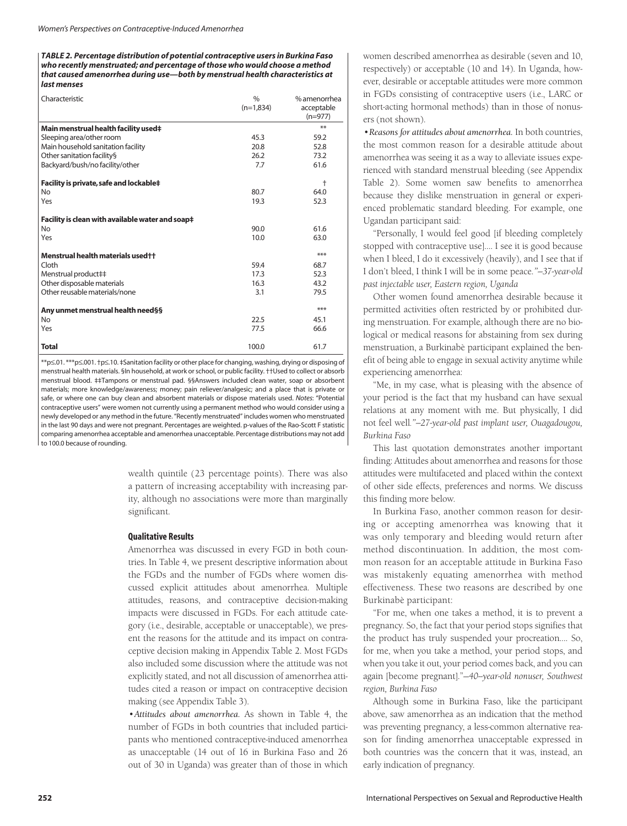*TABLE 2. Percentage distribution of potential contraceptive users in Burkina Faso who recently menstruated; and percentage of those who would choose a method that caused amenorrhea during use—both by menstrual health characteristics at last menses*

| Characteristic                                   | $\frac{0}{0}$<br>$(n=1.834)$ | % amenorrhea<br>acceptable<br>$(n=977)$ |
|--------------------------------------------------|------------------------------|-----------------------------------------|
| Main menstrual health facility used‡             |                              | **                                      |
| Sleeping area/other room                         | 45.3                         | 59.2                                    |
| Main household sanitation facility               | 20.8                         | 52.8                                    |
| Other sanitation facility§                       | 26.2                         | 73.2                                    |
| Backyard/bush/no facility/other                  | 7.7                          | 61.6                                    |
| Facility is private, safe and lockable‡          |                              | $\ddagger$                              |
| <b>No</b>                                        | 80.7                         | 64.0                                    |
| Yes                                              | 19.3                         | 52.3                                    |
| Facility is clean with available water and soap‡ |                              |                                         |
| <b>No</b>                                        | 90.0                         | 61.6                                    |
| Yes                                              | 10.0                         | 63.0                                    |
| Menstrual health materials used ++               |                              | ***                                     |
| Cloth                                            | 59.4                         | 68.7                                    |
| Menstrual product##                              | 17.3                         | 52.3                                    |
| Other disposable materials                       | 16.3                         | 43.2                                    |
| Other reusable materials/none                    | 3.1                          | 79.5                                    |
| Any unmet menstrual health need§§                |                              | ***                                     |
| <b>No</b>                                        | 22.5                         | 45.1                                    |
| Yes                                              | 77.5                         | 66.6                                    |
| <b>Total</b>                                     | 100.0                        | 61.7                                    |

\*\*p≤.01. \*\*\*p≤.001. †p≤.10. ‡Sanitation facility or other place for changing, washing, drying or disposing of menstrual health materials. §In household, at work or school, or public facility. ††Used to collect or absorb menstrual blood. ‡‡Tampons or menstrual pad. §§Answers included clean water, soap or absorbent materials; more knowledge/awareness; money; pain reliever/analgesic; and a place that is private or safe, or where one can buy clean and absorbent materials or dispose materials used. *Notes*: "Potential contraceptive users" were women not currently using a permanent method who would consider using a newly developed or any method in the future. "Recently menstruated" includes women who menstruated in the last 90 days and were not pregnant. Percentages are weighted. p-values of the Rao-Scott F statistic comparing amenorrhea acceptable and amenorrhea unacceptable. Percentage distributions may not add to 100.0 because of rounding.

> wealth quintile (23 percentage points). There was also a pattern of increasing acceptability with increasing parity, although no associations were more than marginally significant.

#### **Qualitative Results**

Amenorrhea was discussed in every FGD in both countries. In Table 4, we present descriptive information about the FGDs and the number of FGDs where women discussed explicit attitudes about amenorrhea. Multiple attitudes, reasons, and contraceptive decision-making impacts were discussed in FGDs. For each attitude category (i.e., desirable, acceptable or unacceptable), we present the reasons for the attitude and its impact on contraceptive decision making in Appendix Table 2. Most FGDs also included some discussion where the attitude was not explicitly stated, and not all discussion of amenorrhea attitudes cited a reason or impact on contraceptive decision making (see Appendix Table 3).

*•Attitudes about amenorrhea.* As shown in Table 4, the number of FGDs in both countries that included participants who mentioned contraceptive-induced amenorrhea as unacceptable (14 out of 16 in Burkina Faso and 26 out of 30 in Uganda) was greater than of those in which

women described amenorrhea as desirable (seven and 10, respectively) or acceptable (10 and 14). In Uganda, however, desirable or acceptable attitudes were more common in FGDs consisting of contraceptive users (i.e., LARC or short-acting hormonal methods) than in those of nonusers (not shown).

*•Reasons for attitudes about amenorrhea.* In both countries, the most common reason for a desirable attitude about amenorrhea was seeing it as a way to alleviate issues experienced with standard menstrual bleeding (see Appendix Table 2). Some women saw benefits to amenorrhea because they dislike menstruation in general or experienced problematic standard bleeding. For example, one Ugandan participant said:

"Personally, I would feel good [if bleeding completely stopped with contraceptive use]…. I see it is good because when I bleed, I do it excessively (heavily), and I see that if I don't bleed, I think I will be in some peace*."—37-year-old past injectable user, Eastern region, Uganda*

Other women found amenorrhea desirable because it permitted activities often restricted by or prohibited during menstruation. For example, although there are no biological or medical reasons for abstaining from sex during menstruation, a Burkinabè participant explained the benefit of being able to engage in sexual activity anytime while experiencing amenorrhea:

"Me, in my case, what is pleasing with the absence of your period is the fact that my husband can have sexual relations at any moment with me. But physically, I did not feel well*."—27-year-old past implant user, Ouagadougou, Burkina Faso*

This last quotation demonstrates another important finding: Attitudes about amenorrhea and reasons for those attitudes were multifaceted and placed within the context of other side effects, preferences and norms. We discuss this finding more below.

In Burkina Faso, another common reason for desiring or accepting amenorrhea was knowing that it was only temporary and bleeding would return after method discontinuation. In addition, the most common reason for an acceptable attitude in Burkina Faso was mistakenly equating amenorrhea with method effectiveness. These two reasons are described by one Burkinabè participant:

"For me, when one takes a method, it is to prevent a pregnancy. So, the fact that your period stops signifies that the product has truly suspended your procreation…. So, for me, when you take a method, your period stops, and when you take it out, your period comes back, and you can again [become pregnant]."—*40--year-old nonuser, Southwest region, Burkina Faso*

Although some in Burkina Faso, like the participant above, saw amenorrhea as an indication that the method was preventing pregnancy, a less-common alternative reason for finding amenorrhea unacceptable expressed in both countries was the concern that it was, instead, an early indication of pregnancy.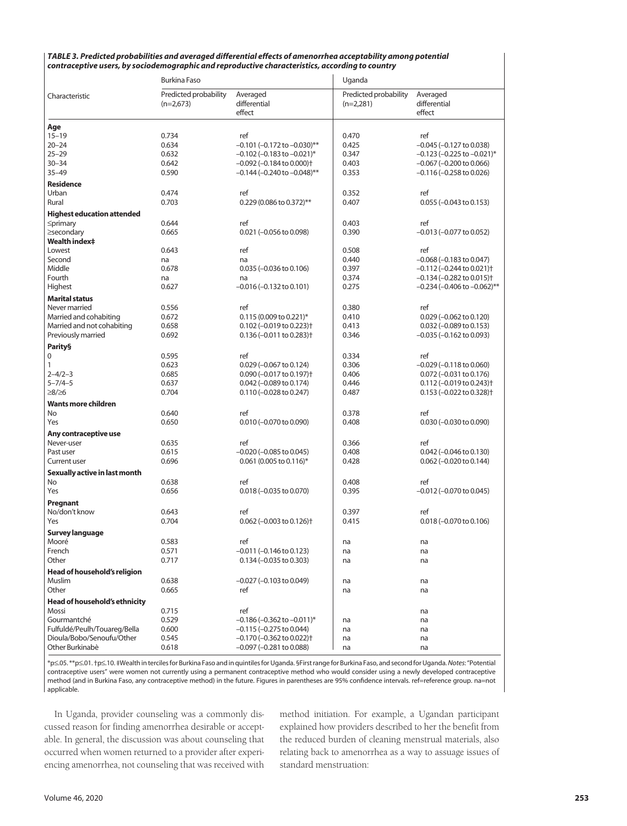| TABLE 3. Predicted probabilities and averaged differential effects of amenorrhea acceptability among potential |
|----------------------------------------------------------------------------------------------------------------|
| contraceptive users, by sociodemographic and reproductive characteristics, according to country                |

|                                   | <b>Burkina Faso</b>                  |                                            | Uganda                               |                                            |  |
|-----------------------------------|--------------------------------------|--------------------------------------------|--------------------------------------|--------------------------------------------|--|
| Characteristic                    | Predicted probability<br>$(n=2,673)$ | Averaged<br>differential<br>effect         | Predicted probability<br>$(n=2,281)$ | Averaged<br>differential<br>effect         |  |
| Age                               |                                      |                                            |                                      |                                            |  |
| $15 - 19$                         | 0.734                                | ref                                        | 0.470                                | ref                                        |  |
| $20 - 24$                         | 0.634                                | $-0.101$ (-0.172 to $-0.030$ )**           | 0.425                                | $-0.045$ ( $-0.127$ to 0.038)              |  |
| $25 - 29$                         | 0.632                                | $-0.102$ (-0.183 to $-0.021$ )*            | 0.347                                | $-0.123$ (-0.225 to $-0.021$ )*            |  |
| $30 - 34$                         | 0.642                                | $-0.092$ ( $-0.184$ to 0.000) <sup>+</sup> | 0.403                                | $-0.067$ ( $-0.200$ to 0.066)              |  |
| $35 - 49$                         | 0.590                                | –0.144 (–0.240 to –0.048)**                | 0.353                                | $-0.116 (-0.258 \text{ to } 0.026)$        |  |
| <b>Residence</b>                  |                                      |                                            |                                      |                                            |  |
| Urban                             | 0.474                                | ref                                        | 0.352                                | ref                                        |  |
| Rural                             | 0.703                                | $0.229(0.086 \text{ to } 0.372)$ **        | 0.407                                | $0.055 (-0.043 \text{ to } 0.153)$         |  |
| <b>Highest education attended</b> |                                      |                                            |                                      |                                            |  |
| $\leq$ primary                    | 0.644                                | ref                                        | 0.403                                | ref                                        |  |
| ≥secondary                        | 0.665                                | $0.021$ (-0.056 to 0.098)                  | 0.390                                | –0.013 (–0.077 to 0.052)                   |  |
| <b>Wealth index‡</b>              |                                      |                                            |                                      |                                            |  |
| Lowest                            | 0.643                                | ref                                        | 0.508                                | ref                                        |  |
| Second                            | na                                   | na                                         | 0.440                                | $-0.068$ ( $-0.183$ to 0.047)              |  |
| Middle                            | 0.678                                | $0.035 (-0.036 \text{ to } 0.106)$         | 0.397                                | $-0.112$ ( $-0.244$ to 0.021) <sup>+</sup> |  |
| Fourth                            | na                                   | na                                         | 0.374                                | $-0.134$ ( $-0.282$ to 0.015) <sup>+</sup> |  |
| Highest                           | 0.627                                | –0.016 (–0.132 to 0.101)                   | 0.275                                | $-0.234$ (-0.406 to $-0.062$ )**           |  |
| <b>Marital status</b>             |                                      |                                            |                                      |                                            |  |
| Never married                     | 0.556                                | ref                                        | 0.380                                | ref                                        |  |
| Married and cohabiting            | 0.672                                | $0.115(0.009 to 0.221)^*$                  | 0.410                                | $0.029$ (-0.062 to 0.120)                  |  |
| Married and not cohabiting        | 0.658                                | $0.102$ (-0.019 to 0.223) <sup>+</sup>     | 0.413                                | $0.032$ (-0.089 to 0.153)                  |  |
| Previously married                | 0.692                                | $0.136 (-0.011$ to $0.283$ <sup>+</sup>    | 0.346                                | -0.035 (-0.162 to 0.093)                   |  |
| <b>Parity</b> §                   |                                      |                                            |                                      |                                            |  |
| 0                                 | 0.595                                | ref                                        | 0.334                                | ref                                        |  |
| 1                                 | 0.623                                | $0.029$ (-0.067 to 0.124)                  | 0.306                                | $-0.029$ ( $-0.118$ to 0.060)              |  |
| $2 - 4/2 - 3$                     | 0.685                                | $0.090$ (-0.017 to 0.197) <sup>+</sup>     | 0.406                                | $0.072 (-0.031$ to $0.176)$                |  |
| $5 - 7/4 - 5$                     | 0.637                                | $0.042$ (-0.089 to 0.174)                  | 0.446                                | $0.112 (-0.019 to 0.243)$                  |  |
| ≥8/≥6                             | 0.704                                | $0.110 (-0.028 \text{ to } 0.247)$         | 0.487                                | $0.153$ (-0.022 to 0.328) <sup>+</sup>     |  |
| <b>Wants more children</b>        |                                      |                                            |                                      |                                            |  |
| <b>No</b>                         | 0.640                                | ref                                        | 0.378                                | ref                                        |  |
| Yes                               | 0.650                                | $0.010 (-0.070 \text{ to } 0.090)$         | 0.408                                | $0.030$ (-0.030 to 0.090)                  |  |
| Any contraceptive use             |                                      |                                            |                                      |                                            |  |
| Never-user                        | 0.635                                | ref                                        | 0.366                                | ref                                        |  |
| Past user                         | 0.615                                | $-0.020$ ( $-0.085$ to 0.045)              | 0.408                                | $0.042$ (-0.046 to 0.130)                  |  |
| <b>Current user</b>               | 0.696                                | $0.061$ (0.005 to 0.116)*                  | 0.428                                | $0.062$ (-0.020 to 0.144)                  |  |
| Sexually active in last month     |                                      |                                            |                                      |                                            |  |
| No                                | 0.638                                | ref                                        | 0.408                                | ref                                        |  |
| Yes                               | 0.656                                | $0.018 (-0.035$ to $0.070)$                | 0.395                                | $-0.012$ ( $-0.070$ to 0.045)              |  |
| Pregnant                          |                                      |                                            |                                      |                                            |  |
| No/don't know                     | 0.643                                | ref                                        | 0.397                                | ref                                        |  |
| Yes                               | 0.704                                | $0.062$ (-0.003 to 0.126) <sup>+</sup>     | 0.415                                | $0.018 (-0.070 \text{ to } 0.106)$         |  |
| <b>Survey language</b>            |                                      |                                            |                                      |                                            |  |
| Mooré                             | 0.583                                | ref                                        | na                                   | na                                         |  |
| French                            | 0.571                                | –0.011 (–0.146 to 0.123)                   | na                                   | na                                         |  |
| Other                             | 0.717                                | $0.134 (-0.035$ to 0.303)                  | na                                   | na                                         |  |
| Head of household's religion      |                                      |                                            |                                      |                                            |  |
| Muslim                            | 0.638                                | $-0.027$ ( $-0.103$ to 0.049)              | na                                   | na                                         |  |
| Other                             | 0.665                                | ref                                        | na                                   | na                                         |  |
| Head of household's ethnicity     |                                      |                                            |                                      |                                            |  |
| Mossi                             | 0.715                                | ref                                        |                                      | na                                         |  |
| Gourmantché                       | 0.529                                | $-0.186$ ( $-0.362$ to $-0.011$ )*         | na                                   | na                                         |  |
| Fulfuldé/Peulh/Touareg/Bella      | 0.600                                | $-0.115 (-0.275$ to 0.044)                 | na                                   | na                                         |  |
| Dioula/Bobo/Senoufu/Other         | 0.545                                | $-0.170$ ( $-0.362$ to 0.022) <sup>+</sup> | na                                   | na                                         |  |
| Other Burkinabè                   | 0.618                                | $-0.097$ ( $-0.281$ to 0.088)              | na                                   | na                                         |  |
|                                   |                                      |                                            |                                      |                                            |  |

\*p≤.05. \*\*p≤.01. †p≤.10. ‡Wealth in terciles for Burkina Faso and in quintiles for Uganda. §First range for Burkina Faso, and second for Uganda. *Notes*: "Potential contraceptive users" were women not currently using a permanent contraceptive method who would consider using a newly developed contraceptive method (and in Burkina Faso, any contraceptive method) in the future. Figures in parentheses are 95% confidence intervals. ref=reference group. na=not applicable.

In Uganda, provider counseling was a commonly discussed reason for finding amenorrhea desirable or acceptable. In general, the discussion was about counseling that occurred when women returned to a provider after experiencing amenorrhea, not counseling that was received with method initiation. For example, a Ugandan participant explained how providers described to her the benefit from the reduced burden of cleaning menstrual materials, also relating back to amenorrhea as a way to assuage issues of standard menstruation: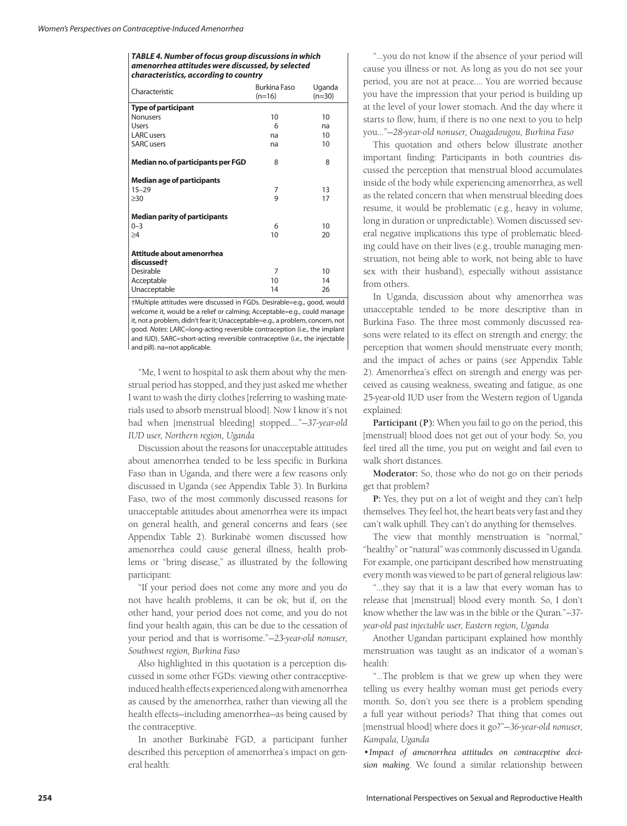#### *TABLE 4. Number of focus group discussions in which amenorrhea attitudes were discussed, by selected characteristics, according to country*

| <b>Type of participant</b><br>10<br>10<br><b>Nonusers</b><br>Users<br>6<br>na<br><b>LARC</b> users<br>10<br>na<br><b>SARC</b> users<br>10<br>na<br>Median no. of participants per FGD<br>8<br>8<br><b>Median age of participants</b><br>$15 - 29$<br>7<br>13<br>9<br>17<br>$\geq 30$<br><b>Median parity of participants</b><br>$0 - 3$<br>10<br>6<br>10<br>20<br>$\geq$ 4<br>Attitude about amenorrhea<br>discussed <sup>+</sup><br>Desirable<br>7<br>10<br>10<br>Acceptable<br>14<br>Unacceptable<br>14<br>26 | Characteristic | <b>Burkina Faso</b><br>$(n=16)$ | Uganda<br>$(n=30)$ |  |  |
|-----------------------------------------------------------------------------------------------------------------------------------------------------------------------------------------------------------------------------------------------------------------------------------------------------------------------------------------------------------------------------------------------------------------------------------------------------------------------------------------------------------------|----------------|---------------------------------|--------------------|--|--|
|                                                                                                                                                                                                                                                                                                                                                                                                                                                                                                                 |                |                                 |                    |  |  |
|                                                                                                                                                                                                                                                                                                                                                                                                                                                                                                                 |                |                                 |                    |  |  |
|                                                                                                                                                                                                                                                                                                                                                                                                                                                                                                                 |                |                                 |                    |  |  |
|                                                                                                                                                                                                                                                                                                                                                                                                                                                                                                                 |                |                                 |                    |  |  |
|                                                                                                                                                                                                                                                                                                                                                                                                                                                                                                                 |                |                                 |                    |  |  |
|                                                                                                                                                                                                                                                                                                                                                                                                                                                                                                                 |                |                                 |                    |  |  |
|                                                                                                                                                                                                                                                                                                                                                                                                                                                                                                                 |                |                                 |                    |  |  |
|                                                                                                                                                                                                                                                                                                                                                                                                                                                                                                                 |                |                                 |                    |  |  |
|                                                                                                                                                                                                                                                                                                                                                                                                                                                                                                                 |                |                                 |                    |  |  |
|                                                                                                                                                                                                                                                                                                                                                                                                                                                                                                                 |                |                                 |                    |  |  |
|                                                                                                                                                                                                                                                                                                                                                                                                                                                                                                                 |                |                                 |                    |  |  |
|                                                                                                                                                                                                                                                                                                                                                                                                                                                                                                                 |                |                                 |                    |  |  |
|                                                                                                                                                                                                                                                                                                                                                                                                                                                                                                                 |                |                                 |                    |  |  |
|                                                                                                                                                                                                                                                                                                                                                                                                                                                                                                                 |                |                                 |                    |  |  |
|                                                                                                                                                                                                                                                                                                                                                                                                                                                                                                                 |                |                                 |                    |  |  |
|                                                                                                                                                                                                                                                                                                                                                                                                                                                                                                                 |                |                                 |                    |  |  |

†Multiple attitudes were discussed in FGDs. Desirable=e.g., good, would welcome it, would be a relief or calming; Acceptable=e.g., could manage it, not a problem, didn't fear it; Unacceptable=e.g., a problem, concern, not good. *Notes*: LARC=long-acting reversible contraception (i.e., the implant and IUD). SARC=short-acting reversible contraceptive (i.e., the injectable and pill). na=not applicable.

"Me, I went to hospital to ask them about why the menstrual period has stopped, and they just asked me whether I want to wash the dirty clothes [referring to washing materials used to absorb menstrual blood]. Now I know it's not bad when [menstrual bleeding] stopped...."—*37-year-old IUD user, Northern region, Uganda*

Discussion about the reasons for unacceptable attitudes about amenorrhea tended to be less specific in Burkina Faso than in Uganda, and there were a few reasons only discussed in Uganda (see Appendix Table 3). In Burkina Faso, two of the most commonly discussed reasons for unacceptable attitudes about amenorrhea were its impact on general health, and general concerns and fears (see Appendix Table 2). Burkinabè women discussed how amenorrhea could cause general illness, health problems or "bring disease," as illustrated by the following participant:

"If your period does not come any more and you do not have health problems, it can be ok; but if, on the other hand, your period does not come, and you do not find your health again, this can be due to the cessation of your period and that is worrisome."—*23-year-old nonuser, Southwest region, Burkina Faso*

Also highlighted in this quotation is a perception discussed in some other FGDs: viewing other contraceptiveinduced health effects experienced along with amenorrhea as caused by the amenorrhea, rather than viewing all the health effects—including amenorrhea—as being caused by the contraceptive.

In another Burkinabè FGD, a participant further described this perception of amenorrhea's impact on general health:

"…you do not know if the absence of your period will cause you illness or not. As long as you do not see your period, you are not at peace…. You are worried because you have the impression that your period is building up at the level of your lower stomach. And the day where it starts to flow, hum, if there is no one next to you to help you…"—*28-year-old nonuser, Ouagadougou, Burkina Faso*

This quotation and others below illustrate another important finding: Participants in both countries discussed the perception that menstrual blood accumulates inside of the body while experiencing amenorrhea, as well as the related concern that when menstrual bleeding does resume, it would be problematic (e.g., heavy in volume, long in duration or unpredictable). Women discussed several negative implications this type of problematic bleeding could have on their lives (e.g., trouble managing menstruation, not being able to work, not being able to have sex with their husband), especially without assistance from others.

In Uganda, discussion about why amenorrhea was unacceptable tended to be more descriptive than in Burkina Faso. The three most commonly discussed reasons were related to its effect on strength and energy; the perception that women should menstruate every month; and the impact of aches or pains (see Appendix Table 2). Amenorrhea's effect on strength and energy was perceived as causing weakness, sweating and fatigue, as one 25-year-old IUD user from the Western region of Uganda explained:

**Participant (P):** When you fail to go on the period, this [menstrual] blood does not get out of your body. So, you feel tired all the time, you put on weight and fail even to walk short distances.

**Moderator:** So, those who do not go on their periods get that problem?

**P:** Yes, they put on a lot of weight and they can't help themselves. They feel hot, the heart beats very fast and they can't walk uphill. They can't do anything for themselves.

The view that monthly menstruation is "normal," "healthy" or "natural" was commonly discussed in Uganda. For example, one participant described how menstruating every month was viewed to be part of general religious law:

"…they say that it is a law that every woman has to release that [menstrual] blood every month. So, I don't know whether the law was in the bible or the Quran."*—37 year-old past injectable user, Eastern region, Uganda*

Another Ugandan participant explained how monthly menstruation was taught as an indicator of a woman's health:

"…The problem is that we grew up when they were telling us every healthy woman must get periods every month. So, don't you see there is a problem spending a full year without periods? That thing that comes out [menstrual blood] where does it go?"—*36-year-old nonuser, Kampala, Uganda*

*•Impact of amenorrhea attitudes on contraceptive decision making*. We found a similar relationship between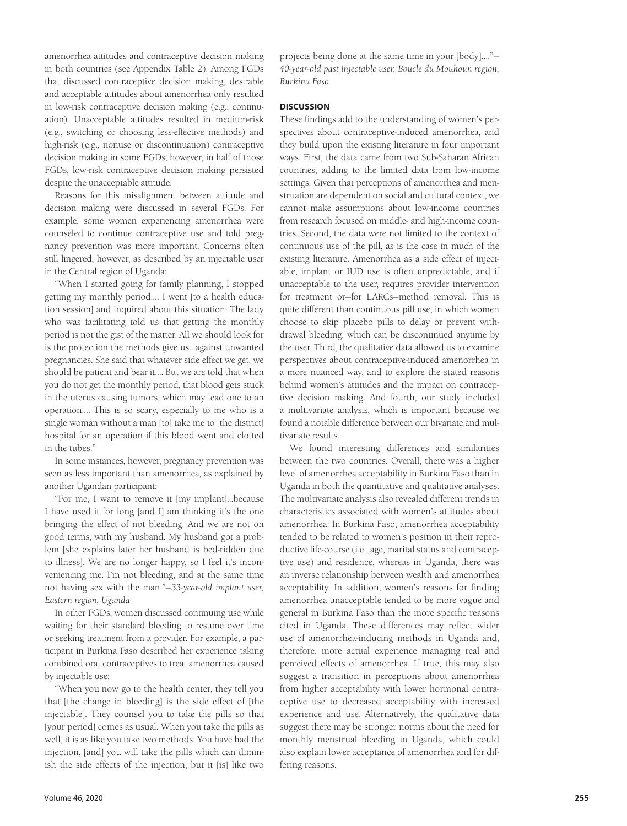amenorrhea attitudes and contraceptive decision making in both countries (see Appendix Table 2). Among FGDs that discussed contraceptive decision making, desirable and acceptable attitudes about amenorrhea only resulted in low-risk contraceptive decision making (e.g., continuation). Unacceptable attitudes resulted in medium-risk (e.g., switching or choosing less-effective methods) and high-risk (e.g., nonuse or discontinuation) contraceptive decision making in some FGDs; however, in half of those FGDs, low-risk contraceptive decision making persisted despite the unacceptable attitude.

Reasons for this misalignment between attitude and decision making were discussed in several FGDs. For example, some women experiencing amenorrhea were counseled to continue contraceptive use and told pregnancy prevention was more important. Concerns often still lingered, however, as described by an injectable user in the Central region of Uganda:

"When I started going for family planning, I stopped getting my monthly period…. I went [to a health education session] and inquired about this situation. The lady who was facilitating told us that getting the monthly period is not the gist of the matter. All we should look for is the protection the methods give us…against unwanted pregnancies. She said that whatever side effect we get, we should be patient and bear it…. But we are told that when you do not get the monthly period, that blood gets stuck in the uterus causing tumors, which may lead one to an operation…. This is so scary, especially to me who is a single woman without a man [to] take me to [the district] hospital for an operation if this blood went and clotted in the tubes."

In some instances, however, pregnancy prevention was seen as less important than amenorrhea, as explained by another Ugandan participant:

"For me, I want to remove it [my implant]…because I have used it for long [and I] am thinking it's the one bringing the effect of not bleeding. And we are not on good terms, with my husband. My husband got a problem [she explains later her husband is bed-ridden due to illness]. We are no longer happy, so I feel it's inconveniencing me. I'm not bleeding, and at the same time not having sex with the man."—*33-year-old implant user, Eastern region, Uganda*

In other FGDs, women discussed continuing use while waiting for their standard bleeding to resume over time or seeking treatment from a provider. For example, a participant in Burkina Faso described her experience taking combined oral contraceptives to treat amenorrhea caused by injectable use:

"When you now go to the health center, they tell you that [the change in bleeding] is the side effect of [the injectable]. They counsel you to take the pills so that [your period] comes as usual. When you take the pills as well, it is as like you take two methods. You have had the injection, [and] you will take the pills which can diminish the side effects of the injection, but it [is] like two projects being done at the same time in your [body]…."— *40-year-old past injectable user, Boucle du Mouhoun region, Burkina Faso*

# **DISCUSSION**

These findings add to the understanding of women's perspectives about contraceptive-induced amenorrhea, and they build upon the existing literature in four important ways. First, the data came from two Sub-Saharan African countries, adding to the limited data from low-income settings. Given that perceptions of amenorrhea and menstruation are dependent on social and cultural context, we cannot make assumptions about low-income countries from research focused on middle- and high-income countries. Second, the data were not limited to the context of continuous use of the pill, as is the case in much of the existing literature. Amenorrhea as a side effect of injectable, implant or IUD use is often unpredictable, and if unacceptable to the user, requires provider intervention for treatment or—for LARCs—method removal. This is quite different than continuous pill use, in which women choose to skip placebo pills to delay or prevent withdrawal bleeding, which can be discontinued anytime by the user. Third, the qualitative data allowed us to examine perspectives about contraceptive-induced amenorrhea in a more nuanced way, and to explore the stated reasons behind women's attitudes and the impact on contraceptive decision making. And fourth, our study included a multivariate analysis, which is important because we found a notable difference between our bivariate and multivariate results.

We found interesting differences and similarities between the two countries. Overall, there was a higher level of amenorrhea acceptability in Burkina Faso than in Uganda in both the quantitative and qualitative analyses. The multivariate analysis also revealed different trends in characteristics associated with women's attitudes about amenorrhea: In Burkina Faso, amenorrhea acceptability tended to be related to women's position in their reproductive life-course (i.e., age, marital status and contraceptive use) and residence, whereas in Uganda, there was an inverse relationship between wealth and amenorrhea acceptability. In addition, women's reasons for finding amenorrhea unacceptable tended to be more vague and general in Burkina Faso than the more specific reasons cited in Uganda. These differences may reflect wider use of amenorrhea-inducing methods in Uganda and, therefore, more actual experience managing real and perceived effects of amenorrhea. If true, this may also suggest a transition in perceptions about amenorrhea from higher acceptability with lower hormonal contraceptive use to decreased acceptability with increased experience and use. Alternatively, the qualitative data suggest there may be stronger norms about the need for monthly menstrual bleeding in Uganda, which could also explain lower acceptance of amenorrhea and for differing reasons.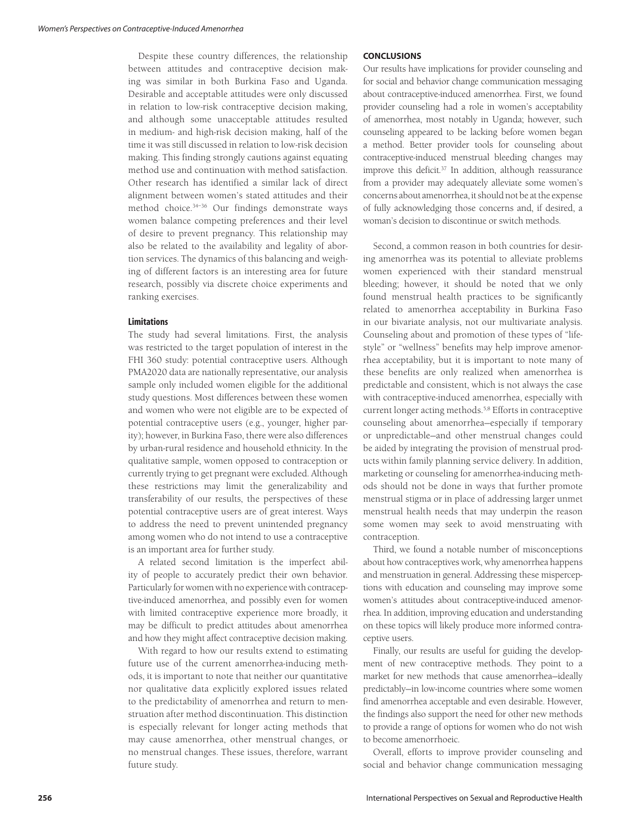Despite these country differences, the relationship between attitudes and contraceptive decision making was similar in both Burkina Faso and Uganda. Desirable and acceptable attitudes were only discussed in relation to low-risk contraceptive decision making, and although some unacceptable attitudes resulted in medium- and high-risk decision making, half of the time it was still discussed in relation to low-risk decision making. This finding strongly cautions against equating method use and continuation with method satisfaction. Other research has identified a similar lack of direct alignment between women's stated attitudes and their method choice.34–36 Our findings demonstrate ways women balance competing preferences and their level of desire to prevent pregnancy. This relationship may also be related to the availability and legality of abortion services. The dynamics of this balancing and weighing of different factors is an interesting area for future research, possibly via discrete choice experiments and ranking exercises.

#### **Limitations**

The study had several limitations. First, the analysis was restricted to the target population of interest in the FHI 360 study: potential contraceptive users. Although PMA2020 data are nationally representative, our analysis sample only included women eligible for the additional study questions. Most differences between these women and women who were not eligible are to be expected of potential contraceptive users (e.g., younger, higher parity); however, in Burkina Faso, there were also differences by urban-rural residence and household ethnicity. In the qualitative sample, women opposed to contraception or currently trying to get pregnant were excluded. Although these restrictions may limit the generalizability and transferability of our results, the perspectives of these potential contraceptive users are of great interest. Ways to address the need to prevent unintended pregnancy among women who do not intend to use a contraceptive is an important area for further study.

A related second limitation is the imperfect ability of people to accurately predict their own behavior. Particularly for women with no experience with contraceptive-induced amenorrhea, and possibly even for women with limited contraceptive experience more broadly, it may be difficult to predict attitudes about amenorrhea and how they might affect contraceptive decision making.

With regard to how our results extend to estimating future use of the current amenorrhea-inducing methods, it is important to note that neither our quantitative nor qualitative data explicitly explored issues related to the predictability of amenorrhea and return to menstruation after method discontinuation. This distinction is especially relevant for longer acting methods that may cause amenorrhea, other menstrual changes, or no menstrual changes. These issues, therefore, warrant future study.

#### **CONCLUSIONS**

Our results have implications for provider counseling and for social and behavior change communication messaging about contraceptive-induced amenorrhea. First, we found provider counseling had a role in women's acceptability of amenorrhea, most notably in Uganda; however, such counseling appeared to be lacking before women began a method. Better provider tools for counseling about contraceptive-induced menstrual bleeding changes may improve this deficit.37 In addition, although reassurance from a provider may adequately alleviate some women's concerns about amenorrhea, it should not be at the expense of fully acknowledging those concerns and, if desired, a woman's decision to discontinue or switch methods.

Second, a common reason in both countries for desiring amenorrhea was its potential to alleviate problems women experienced with their standard menstrual bleeding; however, it should be noted that we only found menstrual health practices to be significantly related to amenorrhea acceptability in Burkina Faso in our bivariate analysis, not our multivariate analysis. Counseling about and promotion of these types of "lifestyle" or "wellness" benefits may help improve amenorrhea acceptability, but it is important to note many of these benefits are only realized when amenorrhea is predictable and consistent, which is not always the case with contraceptive-induced amenorrhea, especially with current longer acting methods.5,8 Efforts in contraceptive counseling about amenorrhea—especially if temporary or unpredictable—and other menstrual changes could be aided by integrating the provision of menstrual products within family planning service delivery. In addition, marketing or counseling for amenorrhea-inducing methods should not be done in ways that further promote menstrual stigma or in place of addressing larger unmet menstrual health needs that may underpin the reason some women may seek to avoid menstruating with contraception.

Third, we found a notable number of misconceptions about how contraceptives work, why amenorrhea happens and menstruation in general. Addressing these misperceptions with education and counseling may improve some women's attitudes about contraceptive-induced amenorrhea. In addition, improving education and understanding on these topics will likely produce more informed contraceptive users.

Finally, our results are useful for guiding the development of new contraceptive methods. They point to a market for new methods that cause amenorrhea—ideally predictably—in low-income countries where some women find amenorrhea acceptable and even desirable. However, the findings also support the need for other new methods to provide a range of options for women who do not wish to become amenorrhoeic.

Overall, efforts to improve provider counseling and social and behavior change communication messaging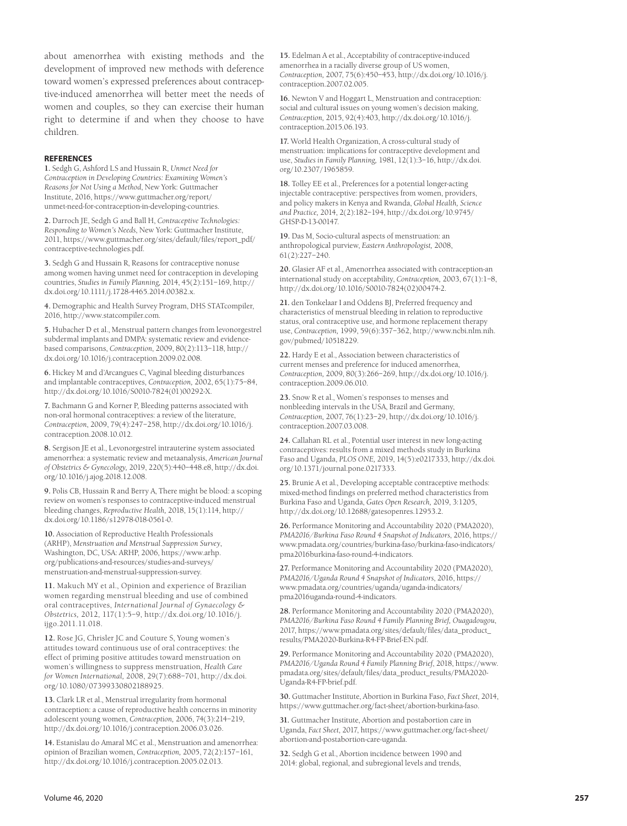about amenorrhea with existing methods and the development of improved new methods with deference toward women's expressed preferences about contraceptive-induced amenorrhea will better meet the needs of women and couples, so they can exercise their human right to determine if and when they choose to have children.

#### **REFERENCES**

**1.** Sedgh G, Ashford LS and Hussain R, *Unmet Need for Contraception in Developing Countries: Examining Women's Reasons for Not Using a Method*, New York: Guttmacher Institute, 2016, https://www.guttmacher.org/report/ unmet-need-for-contraception-in-developing-countries.

**2.** Darroch JE, Sedgh G and Ball H, *Contraceptive Technologies: Responding to Women's Needs*, New York: Guttmacher Institute, 2011, https://www.guttmacher.org/sites/default/files/report\_pdf/ contraceptive-technologies.pdf.

**3.** Sedgh G and Hussain R, Reasons for contraceptive nonuse among women having unmet need for contraception in developing countries, *Studies in Family Planning,* 2014, 45(2):151–169, http:// dx.doi.org/10.1111/j.1728-4465.2014.00382.x.

**4.** Demographic and Health Survey Program, DHS STATcompiler, 2016, http://www.statcompiler.com.

**5.** Hubacher D et al., Menstrual pattern changes from levonorgestrel subdermal implants and DMPA: systematic review and evidencebased comparisons, *Contraception*, 2009, 80(2):113–118, http:// dx.doi.org/10.1016/j.contraception.2009.02.008.

**6.** Hickey M and d'Arcangues C, Vaginal bleeding disturbances and implantable contraceptives, *Contraception,* 2002, 65(1):75–84, http://dx.doi.org/10.1016/S0010-7824(01)00292-X.

**7.** Bachmann G and Korner P, Bleeding patterns associated with non-oral hormonal contraceptives: a review of the literature, *Contraception*, 2009, 79(4):247–258, http://dx.doi.org/10.1016/j. contraception.2008.10.012.

**8.** Sergison JE et al., Levonorgestrel intrauterine system associated amenorrhea: a systematic review and metaanalysis, *American Journal of Obstetrics & Gynecology,* 2019, 220(5):440–448.e8, http://dx.doi. org/10.1016/j.ajog.2018.12.008.

**9.** Polis CB, Hussain R and Berry A, There might be blood: a scoping review on women's responses to contraceptive-induced menstrual bleeding changes, *Reproductive Health,* 2018, 15(1):114, http:// dx.doi.org/10.1186/s12978-018-0561-0.

**10.** Association of Reproductive Health Professionals (ARHP), *Menstruation and Menstrual Suppression Survey*, Washington, DC, USA: ARHP, 2006, https://www.arhp. org/publications-and-resources/studies-and-surveys/ menstruation-and-menstrual-suppression-survey.

**11.** Makuch MY et al., Opinion and experience of Brazilian women regarding menstrual bleeding and use of combined oral contraceptives, *International Journal of Gynaecology & Obstetrics,* 2012, 117(1):5–9, http://dx.doi.org/10.1016/j. ijgo.2011.11.018.

**12.** Rose JG, Chrisler JC and Couture S, Young women's attitudes toward continuous use of oral contraceptives: the effect of priming positive attitudes toward menstruation on women's willingness to suppress menstruation, *Health Care for Women International,* 2008, 29(7):688–701, http://dx.doi. org/10.1080/07399330802188925.

**13.** Clark LR et al., Menstrual irregularity from hormonal contraception: a cause of reproductive health concerns in minority adolescent young women, *Contraception,* 2006, 74(3):214–219, http://dx.doi.org/10.1016/j.contraception.2006.03.026.

**14.** Estanislau do Amaral MC et al., Menstruation and amenorrhea: opinion of Brazilian women, *Contraception,* 2005, 72(2):157–161, http://dx.doi.org/10.1016/j.contraception.2005.02.013.

**15.** Edelman A et al., Acceptability of contraceptive-induced amenorrhea in a racially diverse group of US women, *Contraception,* 2007, 75(6):450–453, http://dx.doi.org/10.1016/j. contraception.2007.02.005.

**16.** Newton V and Hoggart L, Menstruation and contraception: social and cultural issues on young women's decision making, *Contraception,* 2015, 92(4):403, http://dx.doi.org/10.1016/j. contraception.2015.06.193.

**17.** World Health Organization, A cross-cultural study of menstruation: implications for contraceptive development and use, *Studies in Family Planning,* 1981, 12(1):3–16, http://dx.doi. org/10.2307/1965859.

**18.** Tolley EE et al., Preferences for a potential longer-acting injectable contraceptive: perspectives from women, providers, and policy makers in Kenya and Rwanda, *Global Health, Science and Practice,* 2014, 2(2):182–194, http://dx.doi.org/10.9745/ GHSP-D-13-00147.

**19.** Das M, Socio-cultural aspects of menstruation: an anthropological purview, *Eastern Anthropologist,* 2008, 61(2):227–240.

**20.** Glasier AF et al., Amenorrhea associated with contraception-an international study on acceptability, *Contraception,* 2003, 67(1):1–8, http://dx.doi.org/10.1016/S0010-7824(02)00474-2.

**21.** den Tonkelaar I and Oddens BJ, Preferred frequency and characteristics of menstrual bleeding in relation to reproductive status, oral contraceptive use, and hormone replacement therapy use, *Contraception,* 1999, 59(6):357–362, http://www.ncbi.nlm.nih. gov/pubmed/10518229.

**22.** Hardy E et al., Association between characteristics of current menses and preference for induced amenorrhea, *Contraception,* 2009, 80(3):266–269, http://dx.doi.org/10.1016/j. contraception.2009.06.010.

**23.** Snow R et al., Women's responses to menses and nonbleeding intervals in the USA, Brazil and Germany, *Contraception,* 2007, 76(1):23–29, http://dx.doi.org/10.1016/j. contraception.2007.03.008.

**24.** Callahan RL et al., Potential user interest in new long-acting contraceptives: results from a mixed methods study in Burkina Faso and Uganda, *PLOS ONE,* 2019, 14(5):e0217333, http://dx.doi. org/10.1371/journal.pone.0217333.

**25.** Brunie A et al., Developing acceptable contraceptive methods: mixed-method findings on preferred method characteristics from Burkina Faso and Uganda, *Gates Open Research,* 2019, 3:1205, http://dx.doi.org/10.12688/gatesopenres.12953.2.

**26.** Performance Monitoring and Accountability 2020 (PMA2020), *PMA2016/Burkina Faso Round 4 Snapshot of Indicators*, 2016, https:// www.pmadata.org/countries/burkina-faso/burkina-faso-indicators/ pma2016burkina-faso-round-4-indicators.

**27.** Performance Monitoring and Accountability 2020 (PMA2020), *PMA2016/Uganda Round 4 Snapshot of Indicators*, 2016, https:// www.pmadata.org/countries/uganda/uganda-indicators/ pma2016uganda-round-4-indicators.

**28.** Performance Monitoring and Accountability 2020 (PMA2020), *PMA2016/Burkina Faso Round 4 Family Planning Brief, Ouagadougou*, 2017, https://www.pmadata.org/sites/default/files/data\_product\_ results/PMA2020-Burkina-R4-FP-Brief-EN.pdf.

**29.** Performance Monitoring and Accountability 2020 (PMA2020), *PMA2016/Uganda Round 4 Family Planning Brief*, 2018, https://www. pmadata.org/sites/default/files/data\_product\_results/PMA2020- Uganda-R4-FP-brief.pdf.

**30.** Guttmacher Institute, Abortion in Burkina Faso, *Fact Sheet*, 2014, https://www.guttmacher.org/fact-sheet/abortion-burkina-faso.

**31.** Guttmacher Institute, Abortion and postabortion care in Uganda, *Fact Sheet*, 2017, https://www.guttmacher.org/fact-sheet/ abortion-and-postabortion-care-uganda.

**32.** Sedgh G et al., Abortion incidence between 1990 and 2014: global, regional, and subregional levels and trends,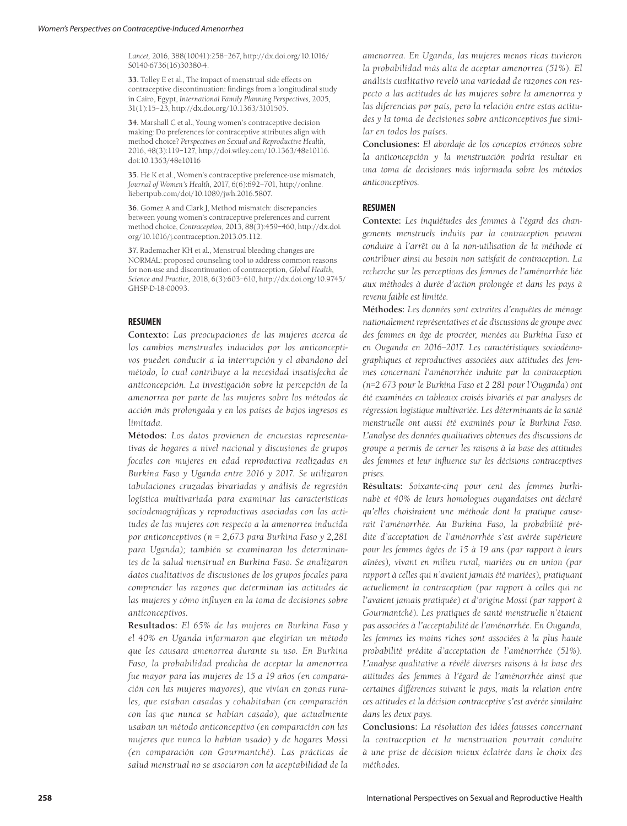*Lancet,* 2016, 388(10041):258–267, http://dx.doi.org/10.1016/ S0140-6736(16)30380-4.

**33.** Tolley E et al., The impact of menstrual side effects on contraceptive discontinuation: findings from a longitudinal study in Cairo, Egypt, *International Family Planning Perspectives,* 2005, 31(1):15–23, http://dx.doi.org/10.1363/3101505.

**34.** Marshall C et al., Young women's contraceptive decision making: Do preferences for contraceptive attributes align with method choice? *Perspectives on Sexual and Reproductive Health,* 2016, 48(3):119–127, http://doi.wiley.com/10.1363/48e10116. doi:10.1363/48e10116

**35.** He K et al., Women's contraceptive preference-use mismatch, *Journal of Women's Health*, 2017, 6(6):692–701, http://online. liebertpub.com/doi/10.1089/jwh.2016.5807.

**36.** Gomez A and Clark J, Method mismatch: discrepancies between young women's contraceptive preferences and current method choice, *Contraception,* 2013, 88(3):459–460, http://dx.doi. org/10.1016/j.contraception.2013.05.112.

**37.** Rademacher KH et al., Menstrual bleeding changes are NORMAL: proposed counseling tool to address common reasons for non-use and discontinuation of contraception, *Global Health, Science and Practice,* 2018, 6(3):603–610, http://dx.doi.org/10.9745/ GHSP-D-18-00093.

## **RESUMEN**

**Contexto:** *Las preocupaciones de las mujeres acerca de los cambios menstruales inducidos por los anticonceptivos pueden conducir a la interrupción y el abandono del método, lo cual contribuye a la necesidad insatisfecha de anticoncepción. La investigación sobre la percepción de la amenorrea por parte de las mujeres sobre los métodos de acción más prolongada y en los países de bajos ingresos es limitada.*

**Métodos:** *Los datos provienen de encuestas representativas de hogares a nivel nacional y discusiones de grupos focales con mujeres en edad reproductiva realizadas en Burkina Faso y Uganda entre 2016 y 2017. Se utilizaron tabulaciones cruzadas bivariadas y análisis de regresión logística multivariada para examinar las características sociodemográficas y reproductivas asociadas con las actitudes de las mujeres con respecto a la amenorrea inducida por anticonceptivos (n = 2,673 para Burkina Faso y 2,281 para Uganda); también se examinaron los determinantes de la salud menstrual en Burkina Faso. Se analizaron datos cualitativos de discusiones de los grupos focales para comprender las razones que determinan las actitudes de las mujeres y cómo influyen en la toma de decisiones sobre anticonceptivos.*

**Resultados:** *El 65% de las mujeres en Burkina Faso y el 40% en Uganda informaron que elegirían un método que les causara amenorrea durante su uso. En Burkina Faso, la probabilidad predicha de aceptar la amenorrea fue mayor para las mujeres de 15 a 19 años (en comparación con las mujeres mayores), que vivían en zonas rurales, que estaban casadas y cohabitaban (en comparación con las que nunca se habían casado), que actualmente usaban un método anticonceptivo (en comparación con las mujeres que nunca lo habían usado) y de hogares Mossi (en comparación con Gourmantché). Las prácticas de salud menstrual no se asociaron con la aceptabilidad de la*  *amenorrea. En Uganda, las mujeres menos ricas tuvieron la probabilidad más alta de aceptar amenorrea (51%). El análisis cualitativo reveló una variedad de razones con respecto a las actitudes de las mujeres sobre la amenorrea y las diferencias por país, pero la relación entre estas actitudes y la toma de decisiones sobre anticonceptivos fue similar en todos los países.*

**Conclusiones:** *El abordaje de los conceptos erróneos sobre la anticoncepción y la menstruación podría resultar en una toma de decisiones más informada sobre los métodos anticonceptivos.*

# **RESUMEN**

**Contexte:** *Les inquiétudes des femmes à l'égard des changements menstruels induits par la contraception peuvent conduire à l'arrêt ou à la non-utilisation de la méthode et contribuer ainsi au besoin non satisfait de contraception. La recherche sur les perceptions des femmes de l'aménorrhée liée aux méthodes à durée d'action prolongée et dans les pays à revenu faible est limitée.* 

**Méthodes:** *Les données sont extraites d'enquêtes de ménage nationalement représentatives et de discussions de groupe avec des femmes en âge de procréer, menées au Burkina Faso et en Ouganda en 2016–2017. Les caractéristiques sociodémographiques et reproductives associées aux attitudes des femmes concernant l'aménorrhée induite par la contraception (n=2 673 pour le Burkina Faso et 2 281 pour l'Ouganda) ont été examinées en tableaux croisés bivariés et par analyses de régression logistique multivariée. Les déterminants de la santé menstruelle ont aussi été examinés pour le Burkina Faso. L'analyse des données qualitatives obtenues des discussions de groupe a permis de cerner les raisons à la base des attitudes des femmes et leur influence sur les décisions contraceptives prises.* 

**Résultats:** *Soixante-cinq pour cent des femmes burkinabè et 40% de leurs homologues ougandaises ont déclaré qu'elles choisiraient une méthode dont la pratique causerait l'aménorrhée. Au Burkina Faso, la probabilité prédite d'acceptation de l'aménorrhée s'est avérée supérieure pour les femmes âgées de 15 à 19 ans (par rapport à leurs aînées), vivant en milieu rural, mariées ou en union (par rapport à celles qui n'avaient jamais été mariées), pratiquant actuellement la contraception (par rapport à celles qui ne l'avaient jamais pratiquée) et d'origine Mossi (par rapport à Gourmantché). Les pratiques de santé menstruelle n'étaient pas associées à l'acceptabilité de l'aménorrhée. En Ouganda, les femmes les moins riches sont associées à la plus haute probabilité prédite d'acceptation de l'aménorrhée (51%). L'analyse qualitative a révélé diverses raisons à la base des attitudes des femmes à l'égard de l'aménorrhée ainsi que certaines différences suivant le pays, mais la relation entre ces attitudes et la décision contraceptive s'est avérée similaire dans les deux pays.*

**Conclusions:** *La résolution des idées fausses concernant la contraception et la menstruation pourrait conduire à une prise de décision mieux éclairée dans le choix des méthodes.*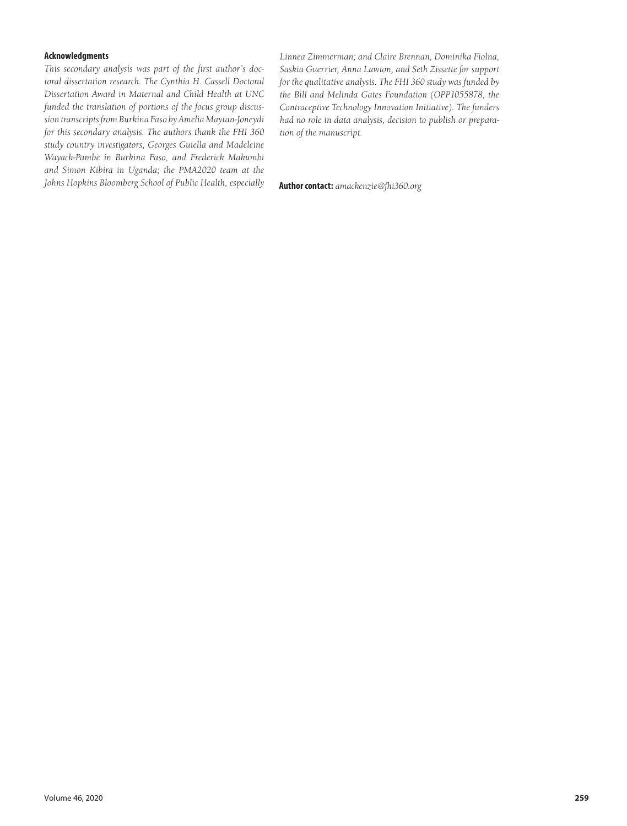# **Acknowledgments**

*This secondary analysis was part of the first author's doctoral dissertation research. The Cynthia H. Cassell Doctoral Dissertation Award in Maternal and Child Health at UNC funded the translation of portions of the focus group discussion transcripts from Burkina Faso by Amelia Maytan-Joneydi for this secondary analysis. The authors thank the FHI 360 study country investigators, Georges Guiella and Madeleine Wayack-Pambè in Burkina Faso, and Frederick Makumbi and Simon Kibira in Uganda; the PMA2020 team at the Johns Hopkins Bloomberg School of Public Health, especially* **Author contact:** *amackenzie@fhi360.org*

*Linnea Zimmerman; and Claire Brennan, Dominika Fiolna, Saskia Guerrier, Anna Lawton, and Seth Zissette for support for the qualitative analysis. The FHI 360 study was funded by the Bill and Melinda Gates Foundation (OPP1055878, the Contraceptive Technology Innovation Initiative). The funders had no role in data analysis, decision to publish or preparation of the manuscript.*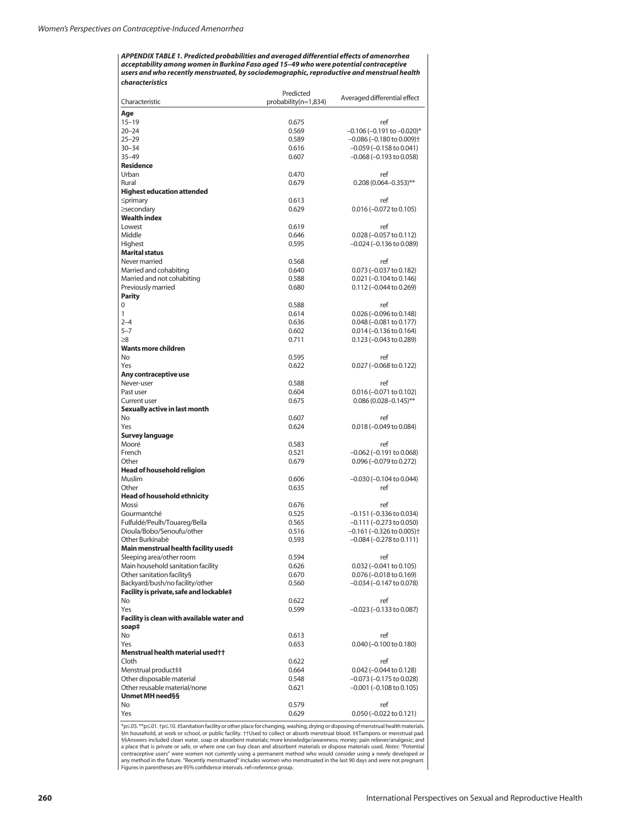*APPENDIX TABLE 1. Predicted probabilities and averaged differential effects of amenorrhea acceptability among women in Burkina Faso aged 15–49 who were potential contraceptive users and who recently menstruated, by sociodemographic, reproductive and menstrual health characteristics*

|                                            | Predicted            | Averaged differential effect               |
|--------------------------------------------|----------------------|--------------------------------------------|
| Characteristic                             | probability(n=1,834) |                                            |
| Age                                        |                      |                                            |
| $15 - 19$                                  | 0.675                | ref                                        |
| 20-24                                      | 0.569                | $-0.106$ (-0.191 to $-0.020$ )*            |
| $25 - 29$                                  | 0.589                | $-0.086$ ( $-0.180$ to 0.009) <sup>+</sup> |
| $30 - 34$                                  | 0.616                | $-0.059$ ( $-0.158$ to 0.041)              |
|                                            |                      |                                            |
| $35 - 49$                                  | 0.607                | $-0.068$ ( $-0.193$ to 0.058)              |
| <b>Residence</b>                           |                      |                                            |
| Urban                                      | 0.470                | ref                                        |
| Rural                                      | 0.679                | $0.208(0.064 - 0.353)$ **                  |
| <b>Highest education attended</b>          |                      |                                            |
| $\leq$ primary                             | 0.613                | ref                                        |
| ≥secondary                                 | 0.629                | $0.016 (-0.072 \text{ to } 0.105)$         |
| <b>Wealth index</b>                        |                      |                                            |
| Lowest                                     | 0.619                | ref                                        |
| Middle                                     | 0.646                | $0.028 (-0.057$ to $0.112)$                |
| Highest                                    | 0.595                | –0.024 (–0.136 to 0.089)                   |
| <b>Marital status</b>                      |                      |                                            |
| Never married                              | 0.568                | ref                                        |
|                                            |                      |                                            |
| Married and cohabiting                     | 0.640                | 0.073 (-0.037 to 0.182)                    |
| Married and not cohabiting                 | 0.588                | $0.021 (-0.104 to 0.146)$                  |
| Previously married                         | 0.680                | $0.112 (-0.044 \text{ to } 0.269)$         |
| <b>Parity</b>                              |                      |                                            |
| 0                                          | 0.588                | ref                                        |
| 1                                          | 0.614                | $0.026$ (-0.096 to 0.148)                  |
| $2 - 4$                                    | 0.636                | $0.048$ (-0.081 to 0.177)                  |
| $5 - 7$                                    | 0.602                | $0.014 (-0.136 \text{ to } 0.164)$         |
| $\geq 8$                                   | 0.711                | 0.123 (-0.043 to 0.289)                    |
| Wants more children                        |                      |                                            |
| No                                         | 0.595                | ref                                        |
|                                            |                      |                                            |
| Yes                                        | 0.622                | $0.027$ (-0.068 to 0.122)                  |
| Any contraceptive use                      |                      |                                            |
| Never-user                                 | 0.588                | ref                                        |
| Past user                                  | 0.604                | 0.016 (-0.071 to 0.102)                    |
| <b>Current user</b>                        | 0.675                | $0.086(0.028 - 0.145)$ **                  |
| Sexually active in last month              |                      |                                            |
| No                                         | 0.607                | ref                                        |
| Yes                                        | 0.624                | $0.018 (-0.049 \text{ to } 0.084)$         |
| <b>Survey language</b>                     |                      |                                            |
| Mooré                                      | 0.583                | ref                                        |
| French                                     | 0.521                | $-0.062$ ( $-0.191$ to 0.068)              |
| Other                                      | 0.679                | 0.096 (-0.079 to 0.272)                    |
|                                            |                      |                                            |
| <b>Head of household religion</b>          |                      |                                            |
| Muslim                                     | 0.606                | $-0.030$ ( $-0.104$ to 0.044)              |
| Other                                      | 0.635                | ref                                        |
| <b>Head of household ethnicity</b>         |                      |                                            |
| Mossi                                      | 0.676                | ref                                        |
| Gourmantché                                | 0.525                | $-0.151$ ( $-0.336$ to 0.034)              |
| Fulfuldé/Peulh/Touareg/Bella               | 0.565                | $-0.111 (-0.273$ to 0.050)                 |
| Dioula/Bobo/Senoufu/other                  | 0.516                | $-0.161$ ( $-0.326$ to 0.005) <sup>+</sup> |
| Other Burkinabè                            | 0.593                | $-0.084 (-0.278 \text{ to } 0.111)$        |
| Main menstrual health facility used‡       |                      |                                            |
| Sleeping area/other room                   | 0.594                | ref                                        |
|                                            |                      |                                            |
| Main household sanitation facility         | 0.626                | $0.032$ (-0.041 to 0.105)                  |
| Other sanitation facility§                 | 0.670                | 0.076 (-0.018 to 0.169)                    |
| Backyard/bush/no facility/other            | 0.560                | $-0.034$ ( $-0.147$ to 0.078)              |
| Facility is private, safe and lockable‡    |                      |                                            |
| No                                         | 0.622                | ref                                        |
| Yes                                        | 0.599                | $-0.023$ ( $-0.133$ to 0.087)              |
| Facility is clean with available water and |                      |                                            |
| soap‡                                      |                      |                                            |
| No                                         | 0.613                | ref                                        |
| Yes                                        | 0.653                | $0.040$ (-0.100 to 0.180)                  |
| Menstrual health material used++           |                      |                                            |
| Cloth                                      |                      |                                            |
|                                            | 0.622                | ref                                        |
| Menstrual product##                        | 0.664                | $0.042$ (-0.044 to 0.128)                  |
| Other disposable material                  | 0.548                | $-0.073$ ( $-0.175$ to 0.028)              |
| Other reusable material/none               | 0.621                | $-0.001$ ( $-0.108$ to 0.105)              |
| Unmet MH need§§                            |                      |                                            |
| No                                         | 0.579                | ref                                        |
| Yes                                        | 0.629                | $0.050$ (-0.022 to 0.121)                  |
|                                            |                      |                                            |

\*p≤.05. \*\*p≤.01. †p≤.10. ‡Sanitation facility or other place for changing, washing, drying or disposing of menstrual health materials.<br>§in household, at work or school, or public facility. ††Used to collect or absorb mens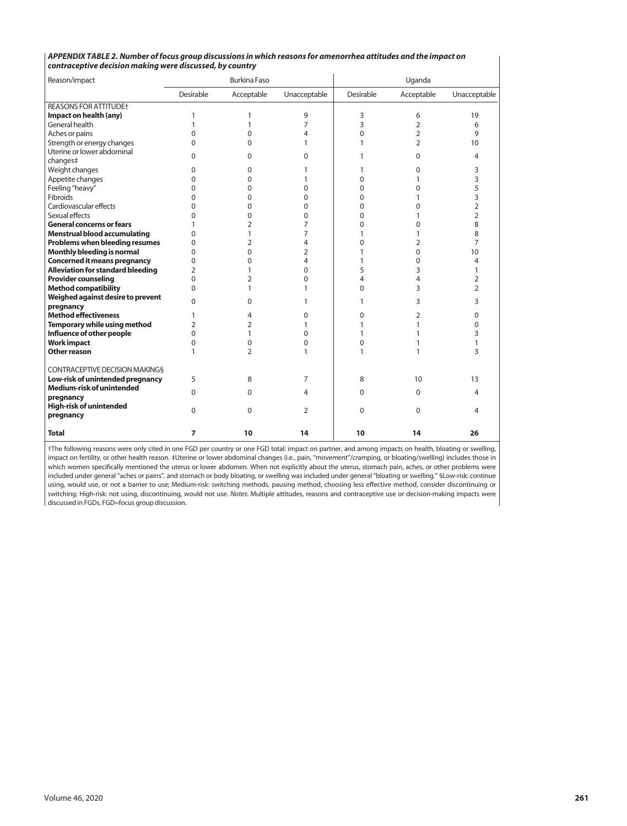|                                                          | APPENDIX TABLE 2. Number of focus group discussions in which reasons for amenorrhea attitudes and the impact on |  |
|----------------------------------------------------------|-----------------------------------------------------------------------------------------------------------------|--|
| contraceptive decision making were discussed, by country |                                                                                                                 |  |

| Reason/impact                                            |                | <b>Burkina Faso</b> |                |              | Uganda         |                |
|----------------------------------------------------------|----------------|---------------------|----------------|--------------|----------------|----------------|
|                                                          | Desirable      | Acceptable          | Unacceptable   | Desirable    | Acceptable     | Unacceptable   |
| <b>REASONS FOR ATTITUDE+</b>                             |                |                     |                |              |                |                |
| Impact on health (any)                                   | 1              | 1                   | 9              | 3            | 6              | 19             |
| General health                                           | 1              | 1                   | 7              | 3            | 2              | 6              |
| Aches or pains                                           | 0              | $\Omega$            | 4              | $\Omega$     | $\overline{2}$ | 9              |
| Strength or energy changes                               | 0              | $\Omega$            | 1              | 1            | $\overline{2}$ | 10             |
| Uterine or lower abdominal                               | 0              | $\Omega$            | $\Omega$       | 1            | $\Omega$       | 4              |
| changes‡                                                 |                |                     |                |              |                |                |
| Weight changes                                           | 0              | $\Omega$            | 1              | 1            | 0              | 3              |
| Appetite changes                                         | 0              | 0                   | 1              | $\mathbf 0$  | 1              | 3              |
| Feeling "heavy"                                          | 0              | $\Omega$            | 0              | 0            | 0              | 5              |
| Fibroids                                                 | 0              | 0                   | $\Omega$       | $\Omega$     | 1              | 3              |
| Cardiovascular effects                                   | 0              | $\Omega$            | $\Omega$       | $\Omega$     | 0              | $\overline{2}$ |
| Sexual effects                                           | 0              | $\Omega$            | $\Omega$       | $\mathbf 0$  | 1              | $\overline{2}$ |
| <b>General concerns or fears</b>                         |                | $\overline{2}$      | 7              | $\Omega$     | 0              | 8              |
| <b>Menstrual blood accumulating</b>                      | 0              | 1                   | $\overline{7}$ | 1            | 1              | 8              |
| Problems when bleeding resumes                           | 0              | $\overline{2}$      | 4              | $\mathbf{0}$ | 2              | $\overline{7}$ |
| Monthly bleeding is normal                               | 0              | $\Omega$            | 2              | 1            | 0              | 10             |
| <b>Concerned it means pregnancy</b>                      | 0              | $\Omega$            | 4              | 1            | $\overline{0}$ | 4              |
| <b>Alleviation for standard bleeding</b>                 | $\overline{2}$ | 1                   | $\Omega$       | 5            | 3              | $\mathbf{1}$   |
| <b>Provider counseling</b>                               | 0              | $\overline{2}$      | $\Omega$       | 4            | 4              | $\overline{2}$ |
| <b>Method compatibility</b>                              | 0              | 1                   | 1              | $\mathbf 0$  | 3              | $\overline{2}$ |
| Weighed against desire to prevent                        | 0              | $\Omega$            | 1              | 1            | 3              | 3              |
| pregnancy                                                |                |                     |                |              |                |                |
| <b>Method effectiveness</b>                              | 1              | 4                   | $\Omega$       | $\Omega$     | 2              | $\Omega$       |
| Temporary while using method                             | 2              | $\overline{2}$      | 1              | $\mathbf{1}$ | 1              | $\Omega$       |
| Influence of other people                                | 0              | 1                   | $\Omega$       | 1            | 1              | 3              |
| <b>Work impact</b>                                       | 0              | 0                   | 0              | $\mathbf 0$  | 1              | 1              |
| Other reason                                             | 1              | $\overline{2}$      | 1              | 1            | 1              | 3              |
| <b>CONTRACEPTIVE DECISION MAKINGS</b>                    |                |                     |                |              |                |                |
| Low-risk of unintended pregnancy                         | 5              | 8                   | 7              | 8            | 10             | 13             |
| <b>Medium-risk of unintended</b>                         | $\Omega$       | $\Omega$            | 4              | $\mathbf 0$  | $\Omega$       | 4              |
| pregnancy<br><b>High-risk of unintended</b><br>pregnancy | 0              | $\Omega$            | 2              | $\Omega$     | $\Omega$       | 4              |
| <b>Total</b>                                             | 7              | 10                  | 14             | 10           | 14             | 26             |

†The following reasons were only cited in one FGD per country or one FGD total: impact on partner, and among impacts on health, bloating or swelling, impact on fertility, or other health reason. ‡Uterine or lower abdominal changes (i.e., pain, "movement"/cramping, or bloating/swelling) includes those in which women specifically mentioned the uterus or lower abdomen. When not explicitly about the uterus, stomach pain, aches, or other problems were included under general "aches or pains", and stomach or body bloating, or swelling was included under general "bloating or swelling." §Low-risk: continue using, would use, or not a barrier to use; Medium-risk: switching methods, pausing method, choosing less effective method, consider discontinuing or switching; High-risk: not using, discontinuing, would not use. *Notes*: Multiple attitudes, reasons and contraceptive use or decision-making impacts were discussed in FGDs. FGD=focus group discussion.